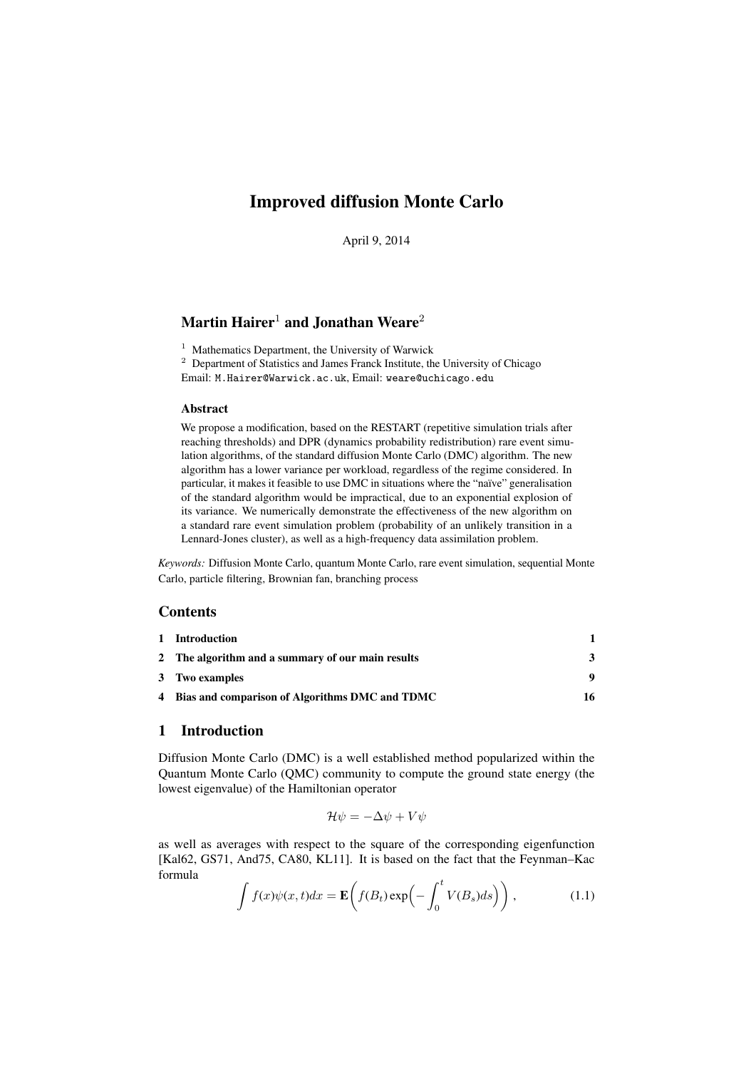# Improved diffusion Monte Carlo

April 9, 2014

# Martin Hairer<sup>1</sup> and Jonathan Weare<sup>2</sup>

<sup>1</sup> Mathematics Department, the University of Warwick

<sup>2</sup> Department of Statistics and James Franck Institute, the University of Chicago Email: M.Hairer@Warwick.ac.uk, Email: weare@uchicago.edu

#### Abstract

We propose a modification, based on the RESTART (repetitive simulation trials after reaching thresholds) and DPR (dynamics probability redistribution) rare event simulation algorithms, of the standard diffusion Monte Carlo (DMC) algorithm. The new algorithm has a lower variance per workload, regardless of the regime considered. In particular, it makes it feasible to use DMC in situations where the "naïve" generalisation of the standard algorithm would be impractical, due to an exponential explosion of its variance. We numerically demonstrate the effectiveness of the new algorithm on a standard rare event simulation problem (probability of an unlikely transition in a Lennard-Jones cluster), as well as a high-frequency data assimilation problem.

*Keywords:* Diffusion Monte Carlo, quantum Monte Carlo, rare event simulation, sequential Monte Carlo, particle filtering, Brownian fan, branching process

# **Contents**

| 1 Introduction                                    |    |
|---------------------------------------------------|----|
| 2 The algorithm and a summary of our main results | 3  |
| 3 Two examples                                    | 9  |
| 4 Bias and comparison of Algorithms DMC and TDMC  | 16 |
|                                                   |    |

# 1 Introduction

Diffusion Monte Carlo (DMC) is a well established method popularized within the Quantum Monte Carlo (QMC) community to compute the ground state energy (the lowest eigenvalue) of the Hamiltonian operator

$$
\mathcal{H}\psi = -\Delta\psi + V\psi
$$

as well as averages with respect to the square of the corresponding eigenfunction [Kal62, GS71, And 75, CA80, KL11]. It is based on the fact that the Feynman–Kac formula

$$
\int f(x)\psi(x,t)dx = \mathbf{E}\left(f(B_t)\exp\left(-\int_0^t V(B_s)ds\right)\right),\tag{1.1}
$$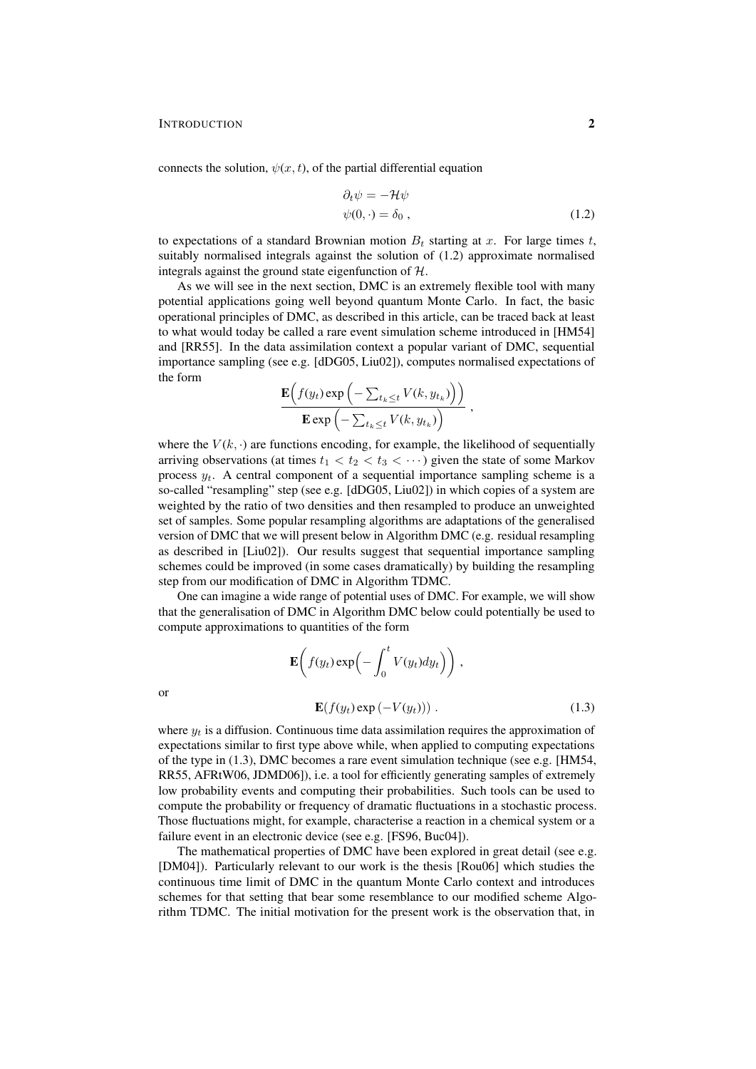connects the solution,  $\psi(x, t)$ , of the partial differential equation

$$
\partial_t \psi = -\mathcal{H}\psi \n\psi(0, \cdot) = \delta_0 ,
$$
\n(1.2)

to expectations of a standard Brownian motion  $B_t$  starting at x. For large times t, suitably normalised integrals against the solution of (1.2) approximate normalised integrals against the ground state eigenfunction of  $H$ .

As we will see in the next section, DMC is an extremely flexible tool with many potential applications going well beyond quantum Monte Carlo. In fact, the basic operational principles of DMC, as described in this article, can be traced back at least to what would today be called a rare event simulation scheme introduced in [HM54] and [RR55]. In the data assimilation context a popular variant of DMC, sequential importance sampling (see e.g. [dDG05, Liu02]), computes normalised expectations of the form

$$
\frac{\mathbf{E}\Big(f(y_t)\exp\Big(-\sum_{t_k\leq t}V(k,y_{t_k})\Big)\Big)}{\mathbf{E}\exp\Big(-\sum_{t_k\leq t}V(k,y_{t_k})\Big)},
$$

where the  $V(k, \cdot)$  are functions encoding, for example, the likelihood of sequentially arriving observations (at times  $t_1 < t_2 < t_3 < \cdots$ ) given the state of some Markov process  $y_t$ . A central component of a sequential importance sampling scheme is a so-called "resampling" step (see e.g. [dDG05, Liu02]) in which copies of a system are weighted by the ratio of two densities and then resampled to produce an unweighted set of samples. Some popular resampling algorithms are adaptations of the generalised version of DMC that we will present below in Algorithm DMC (e.g. residual resampling as described in [Liu02]). Our results suggest that sequential importance sampling schemes could be improved (in some cases dramatically) by building the resampling step from our modification of DMC in Algorithm TDMC.

One can imagine a wide range of potential uses of DMC. For example, we will show that the generalisation of DMC in Algorithm DMC below could potentially be used to compute approximations to quantities of the form

$$
\mathbf{E}\left(f(y_t)\exp\left(-\int_0^t V(y_t)dy_t\right)\right),\
$$

$$
\mathbf{E}(f(y_t)\exp\left(-V(y_t)\right)).
$$
 (1.3)

where  $y_t$  is a diffusion. Continuous time data assimilation requires the approximation of expectations similar to first type above while, when applied to computing expectations of the type in (1.3), DMC becomes a rare event simulation technique (see e.g. [HM54, RR55, AFRtW06, JDMD06]), i.e. a tool for efficiently generating samples of extremely low probability events and computing their probabilities. Such tools can be used to compute the probability or frequency of dramatic fluctuations in a stochastic process. Those fluctuations might, for example, characterise a reaction in a chemical system or a failure event in an electronic device (see e.g. [FS96, Buc04]).

The mathematical properties of DMC have been explored in great detail (see e.g. [DM04]). Particularly relevant to our work is the thesis [Rou06] which studies the continuous time limit of DMC in the quantum Monte Carlo context and introduces schemes for that setting that bear some resemblance to our modified scheme Algorithm TDMC. The initial motivation for the present work is the observation that, in

or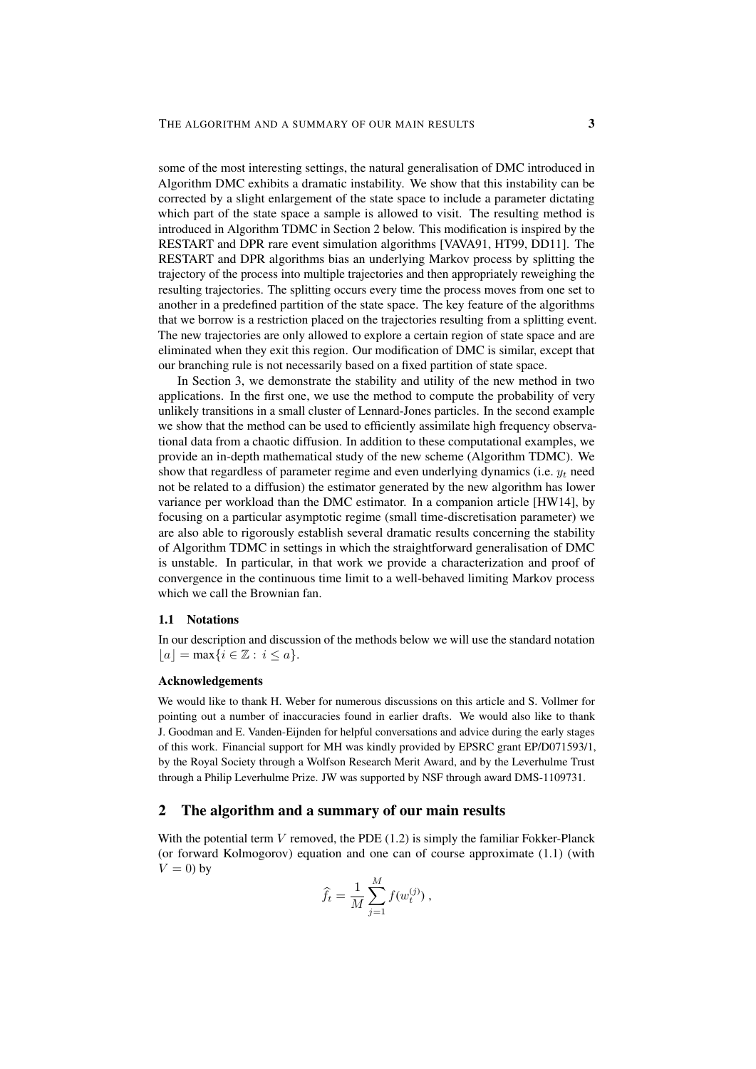some of the most interesting settings, the natural generalisation of DMC introduced in Algorithm DMC exhibits a dramatic instability. We show that this instability can be corrected by a slight enlargement of the state space to include a parameter dictating which part of the state space a sample is allowed to visit. The resulting method is introduced in Algorithm TDMC in Section 2 below. This modification is inspired by the RESTART and DPR rare event simulation algorithms [VAVA91, HT99, DD11]. The RESTART and DPR algorithms bias an underlying Markov process by splitting the trajectory of the process into multiple trajectories and then appropriately reweighing the resulting trajectories. The splitting occurs every time the process moves from one set to another in a predefined partition of the state space. The key feature of the algorithms that we borrow is a restriction placed on the trajectories resulting from a splitting event. The new trajectories are only allowed to explore a certain region of state space and are eliminated when they exit this region. Our modification of DMC is similar, except that our branching rule is not necessarily based on a fixed partition of state space.

In Section 3, we demonstrate the stability and utility of the new method in two applications. In the first one, we use the method to compute the probability of very unlikely transitions in a small cluster of Lennard-Jones particles. In the second example we show that the method can be used to efficiently assimilate high frequency observational data from a chaotic diffusion. In addition to these computational examples, we provide an in-depth mathematical study of the new scheme (Algorithm TDMC). We show that regardless of parameter regime and even underlying dynamics (i.e.  $y_t$  need not be related to a diffusion) the estimator generated by the new algorithm has lower variance per workload than the DMC estimator. In a companion article [HW14], by focusing on a particular asymptotic regime (small time-discretisation parameter) we are also able to rigorously establish several dramatic results concerning the stability of Algorithm TDMC in settings in which the straightforward generalisation of DMC is unstable. In particular, in that work we provide a characterization and proof of convergence in the continuous time limit to a well-behaved limiting Markov process which we call the Brownian fan.

#### 1.1 Notations

In our description and discussion of the methods below we will use the standard notation  $|a| = \max\{i \in \mathbb{Z} : i \leq a\}.$ 

#### Acknowledgements

We would like to thank H. Weber for numerous discussions on this article and S. Vollmer for pointing out a number of inaccuracies found in earlier drafts. We would also like to thank J. Goodman and E. Vanden-Eijnden for helpful conversations and advice during the early stages of this work. Financial support for MH was kindly provided by EPSRC grant EP/D071593/1, by the Royal Society through a Wolfson Research Merit Award, and by the Leverhulme Trust through a Philip Leverhulme Prize. JW was supported by NSF through award DMS-1109731.

## 2 The algorithm and a summary of our main results

With the potential term  $V$  removed, the PDE (1.2) is simply the familiar Fokker-Planck (or forward Kolmogorov) equation and one can of course approximate (1.1) (with  $V = 0$ ) by

$$
\widehat{f}_t = \frac{1}{M} \sum_{j=1}^{M} f(w_t^{(j)}) ,
$$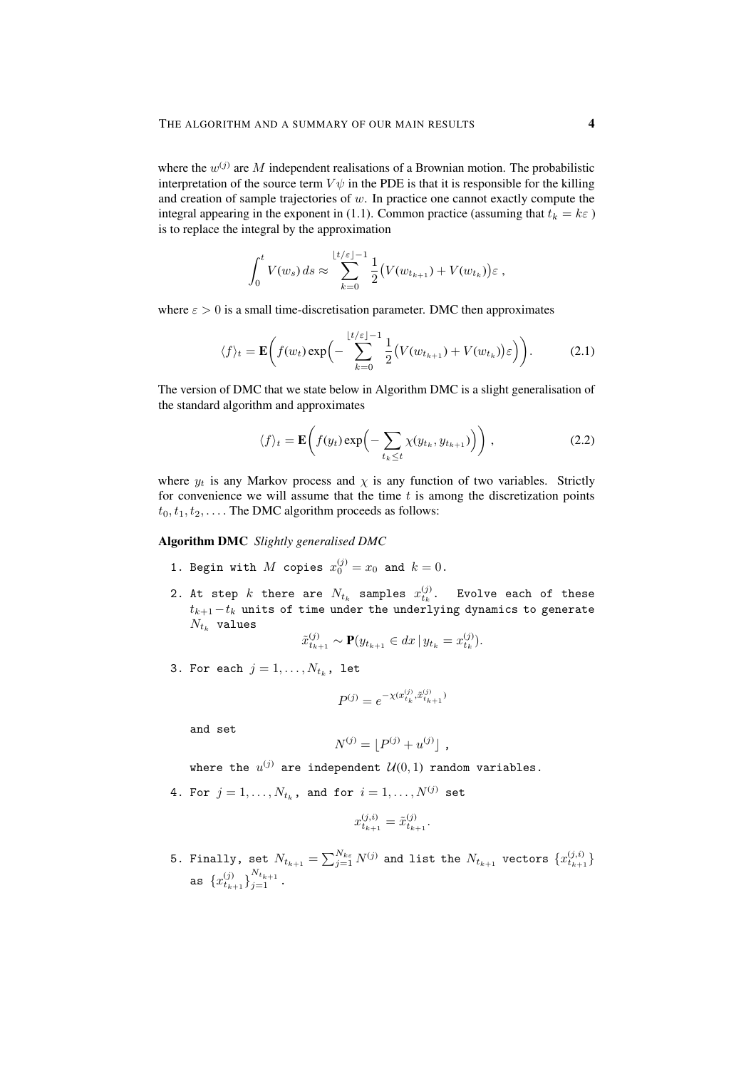where the  $w^{(j)}$  are M independent realisations of a Brownian motion. The probabilistic interpretation of the source term  $V\psi$  in the PDE is that it is responsible for the killing and creation of sample trajectories of  $w$ . In practice one cannot exactly compute the integral appearing in the exponent in (1.1). Common practice (assuming that  $t_k = k\varepsilon$ ) is to replace the integral by the approximation

$$
\int_0^t V(w_s) ds \approx \sum_{k=0}^{\lfloor t/\varepsilon \rfloor - 1} \frac{1}{2} \big( V(w_{t_{k+1}}) + V(w_{t_k}) \big) \varepsilon ,
$$

where  $\varepsilon > 0$  is a small time-discretisation parameter. DMC then approximates

$$
\langle f \rangle_t = \mathbf{E} \bigg( f(w_t) \exp \bigg( - \sum_{k=0}^{\lfloor t/\varepsilon \rfloor - 1} \frac{1}{2} \big( V(w_{t_{k+1}}) + V(w_{t_k}) \big) \varepsilon \bigg) \bigg). \tag{2.1}
$$

The version of DMC that we state below in Algorithm DMC is a slight generalisation of the standard algorithm and approximates

$$
\langle f \rangle_t = \mathbf{E} \bigg( f(y_t) \exp \bigg( - \sum_{t_k \le t} \chi(y_{t_k}, y_{t_{k+1}}) \bigg) \bigg) , \tag{2.2}
$$

where  $y_t$  is any Markov process and  $\chi$  is any function of two variables. Strictly for convenience we will assume that the time  $t$  is among the discretization points  $t_0, t_1, t_2, \ldots$ . The DMC algorithm proceeds as follows:

### Algorithm DMC *Slightly generalised DMC*

- 1. Begin with  $M$  copies  $x_0^{(j)} = x_0$  and  $k = 0$ .
- 2. At step  $k$  there are  $N_{t_k}$  samples  $x_{t_k}^{(j)}$ . Evolve each of these  $t_{k+1}-t_k$  units of time under the underlying dynamics to generate  $N_{t_k}$  values

$$
\tilde{x}_{t_{k+1}}^{(j)} \sim \mathbf{P}(y_{t_{k+1}} \in dx \, | \, y_{t_k} = x_{t_k}^{(j)}).
$$

3. For each  $j=1,\ldots,N_{t_k}$ , let

$$
P^{(j)} = e^{-\chi(x_{t_k}^{(j)}, \tilde{x}_{t_{k+1}}^{(j)})}
$$

and set

$$
N^{(j)} = \lfloor P^{(j)} + u^{(j)} \rfloor ,
$$

where the  $u^{(j)}$  are independent  $\mathcal{U}(0,1)$  random variables.

4. For  $j = 1, ..., N_{t_k}$ , and for  $i = 1, ..., N^{(j)}$  set

$$
x_{t_{k+1}}^{(j,i)} = \tilde{x}_{t_{k+1}}^{(j)}.
$$

5. Finally, set  $N_{t_{k+1}} = \sum_{j=1}^{N_{k\varepsilon}} N^{(j)}$  and list the  $N_{t_{k+1}}$  vectors  $\{x_{t_{k+1}}^{(j,i)}\}$ as  $\{x_{t_{k+1}}^{(j)}\}_{j=1}^{N_{t_{k+1}}}$ .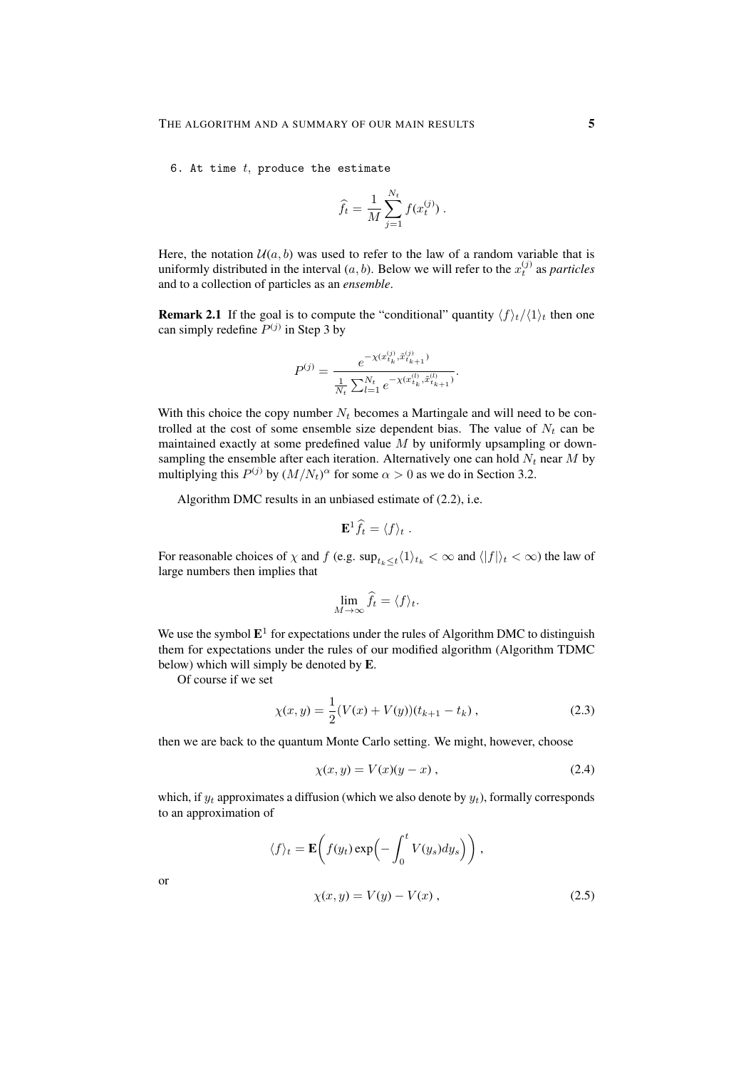6. At time  $t$ , produce the estimate

$$
\widehat{f}_t = \frac{1}{M} \sum_{j=1}^{N_t} f(x_t^{(j)}) .
$$

Here, the notation  $U(a, b)$  was used to refer to the law of a random variable that is uniformly distributed in the interval  $(a, b)$ . Below we will refer to the  $x_t^{(j)}$  as *particles* and to a collection of particles as an *ensemble*.

**Remark 2.1** If the goal is to compute the "conditional" quantity  $\langle f \rangle_t / \langle 1 \rangle_t$  then one can simply redefine  $P^{(j)}$  in Step 3 by

$$
P^{(j)} = \frac{e^{-\chi(x_{t_k}^{(j)}, \tilde{x}_{t_{k+1}}^{(j)})}}{\frac{1}{N_t} \sum_{l=1}^{N_t} e^{-\chi(x_{t_k}^{(l)}, \tilde{x}_{t_{k+1}}^{(l)})}}.
$$

With this choice the copy number  $N_t$  becomes a Martingale and will need to be controlled at the cost of some ensemble size dependent bias. The value of  $N_t$  can be maintained exactly at some predefined value  $M$  by uniformly upsampling or downsampling the ensemble after each iteration. Alternatively one can hold  $N_t$  near M by multiplying this  $P^{(j)}$  by  $(M/N_t)^\alpha$  for some  $\alpha > 0$  as we do in Section 3.2.

Algorithm DMC results in an unbiased estimate of (2.2), i.e.

$$
\mathbf{E}^1 \widehat{f}_t = \langle f \rangle_t \; .
$$

For reasonable choices of  $\chi$  and  $f$  (e.g.  $\sup_{t_k \leq t} \langle 1 \rangle_{t_k} < \infty$  and  $\langle |f| \rangle_t < \infty$ ) the law of large numbers then implies that

$$
\lim_{M \to \infty} \hat{f}_t = \langle f \rangle_t.
$$

We use the symbol  $E^1$  for expectations under the rules of Algorithm DMC to distinguish them for expectations under the rules of our modified algorithm (Algorithm TDMC below) which will simply be denoted by E.

Of course if we set

$$
\chi(x,y) = \frac{1}{2}(V(x) + V(y))(t_{k+1} - t_k), \qquad (2.3)
$$

then we are back to the quantum Monte Carlo setting. We might, however, choose

$$
\chi(x, y) = V(x)(y - x), \qquad (2.4)
$$

which, if  $y_t$  approximates a diffusion (which we also denote by  $y_t$ ), formally corresponds to an approximation of

$$
\langle f \rangle_t = \mathbf{E} \bigg( f(y_t) \exp \bigg( - \int_0^t V(y_s) dy_s \bigg) \bigg) ,
$$
  

$$
\chi(x, y) = V(y) - V(x) ,
$$
 (2.5)

or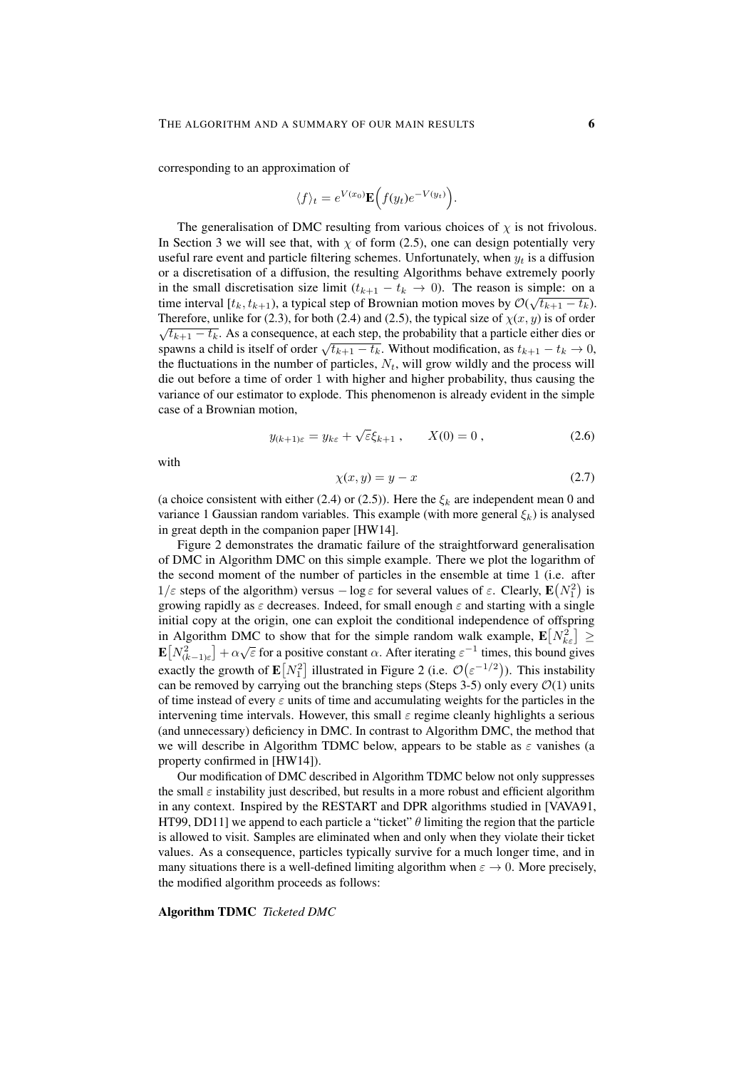corresponding to an approximation of

$$
\langle f \rangle_t = e^{V(x_0)} \mathbf{E} \Big( f(y_t) e^{-V(y_t)} \Big).
$$

The generalisation of DMC resulting from various choices of  $\chi$  is not frivolous. In Section 3 we will see that, with  $\chi$  of form (2.5), one can design potentially very useful rare event and particle filtering schemes. Unfortunately, when  $y_t$  is a diffusion or a discretisation of a diffusion, the resulting Algorithms behave extremely poorly in the small discretisation size limit  $(t_{k+1} - t_k \to 0)$ . The reason is simple: on a time interval [ $t_k, t_{k+1}$ ), a typical step of Brownian motion moves by  $\mathcal{O}(\sqrt{t_{k+1} - t_k})$ . Therefore, unlike for (2.3), for both (2.4) and (2.5), the typical size of  $\chi(x, y)$  is of order  $\sqrt{t_{k+1} - t_k}$ . As a consequence, at each step, the probability that a particle either dies or  $\sqrt{t_{k+1} - t_k}$ . As a consequence, at each step, the probability that a particle either dies of spawns a child is itself of order  $\sqrt{t_{k+1} - t_k}$ . Without modification, as  $t_{k+1} - t_k \rightarrow 0$ , the fluctuations in the number of particles,  $N_t$ , will grow wildly and the process will die out before a time of order 1 with higher and higher probability, thus causing the variance of our estimator to explode. This phenomenon is already evident in the simple case of a Brownian motion,

$$
y_{(k+1)\varepsilon} = y_{k\varepsilon} + \sqrt{\varepsilon} \xi_{k+1} , \qquad X(0) = 0 , \qquad (2.6)
$$

with

$$
\chi(x, y) = y - x \tag{2.7}
$$

(a choice consistent with either (2.4) or (2.5)). Here the  $\xi_k$  are independent mean 0 and variance 1 Gaussian random variables. This example (with more general  $\xi_k$ ) is analysed in great depth in the companion paper [HW14].

Figure 2 demonstrates the dramatic failure of the straightforward generalisation of DMC in Algorithm DMC on this simple example. There we plot the logarithm of the second moment of the number of particles in the ensemble at time 1 (i.e. after  $1/\varepsilon$  steps of the algorithm) versus  $-\log \varepsilon$  for several values of  $\varepsilon$ . Clearly,  $\mathbf{E}(N_1^2)$  is growing rapidly as  $\varepsilon$  decreases. Indeed, for small enough  $\varepsilon$  and starting with a single initial copy at the origin, one can exploit the conditional independence of offspring in Algorithm DMC to show that for the simple random walk example,  $\mathbf{E}[N_{k\varepsilon}^2] \ge \sum_{k=1}^{N-2} \mathbf{E}[N_{k\varepsilon}^2]$  $\mathbf{E}[N_{(k-1)\varepsilon}^2] + \alpha \sqrt{\varepsilon}$  for a positive constant  $\alpha$ . After iterating  $\varepsilon^{-1}$  times, this bound gives exactly the growth of  $\mathbf{E}[N_1^2]$  illustrated in Figure 2 (i.e.  $\mathcal{O}(\varepsilon^{-1/2})$ ). This instability can be removed by carrying out the branching steps (Steps 3-5) only every  $\mathcal{O}(1)$  units of time instead of every  $\varepsilon$  units of time and accumulating weights for the particles in the intervening time intervals. However, this small  $\varepsilon$  regime cleanly highlights a serious (and unnecessary) deficiency in DMC. In contrast to Algorithm DMC, the method that we will describe in Algorithm TDMC below, appears to be stable as  $\varepsilon$  vanishes (a property confirmed in [HW14]).

Our modification of DMC described in Algorithm TDMC below not only suppresses the small  $\varepsilon$  instability just described, but results in a more robust and efficient algorithm in any context. Inspired by the RESTART and DPR algorithms studied in [VAVA91, HT99, DD11] we append to each particle a "ticket"  $\theta$  limiting the region that the particle is allowed to visit. Samples are eliminated when and only when they violate their ticket values. As a consequence, particles typically survive for a much longer time, and in many situations there is a well-defined limiting algorithm when  $\varepsilon \to 0$ . More precisely, the modified algorithm proceeds as follows:

### Algorithm TDMC *Ticketed DMC*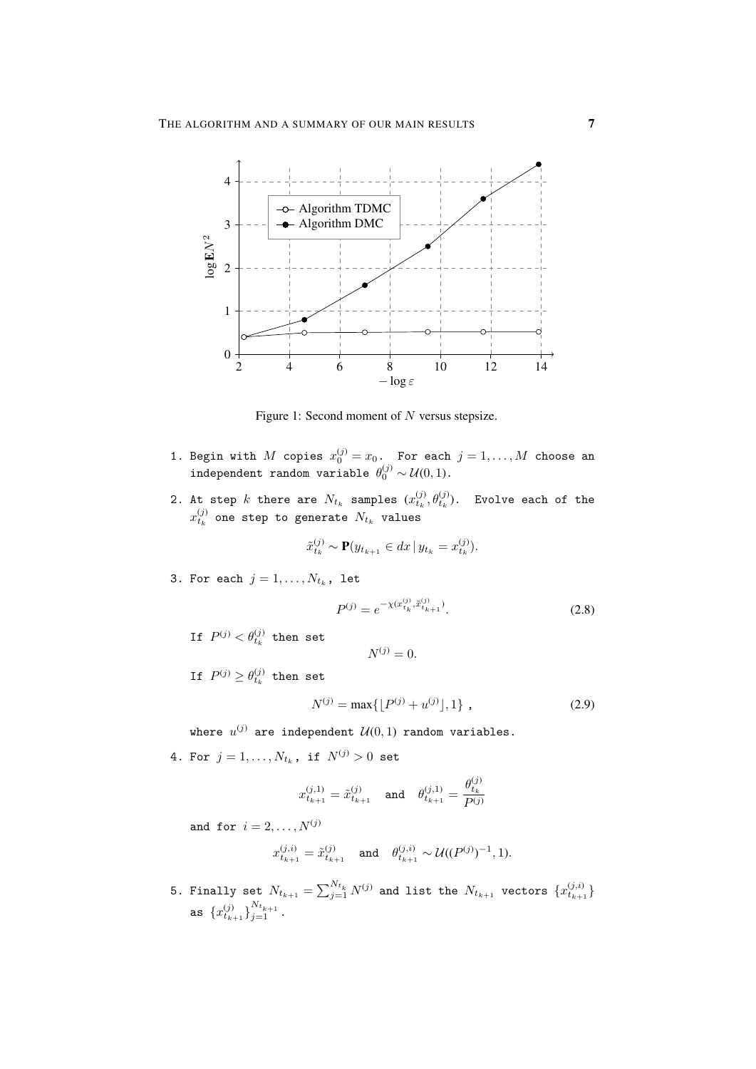

Figure 1: Second moment of  $N$  versus stepsize.

- 1. Begin with  $M$  copies  $x_0^{(j)} = x_0$ . For each  $j = 1, \ldots, M$  choose an independent random variable  $\theta_0^{(j)} \sim \mathcal{U}(0,1)$ .
- 2. At step  $k$  there are  $N_{t_k}$  samples  $(x_{t_k}^{(j)}, \theta_{t_k}^{(j)})$ . Evolve each of the  $x_{t_k}^{\left(j\right)}$  one step to generate  $N_{t_k}$  values

$$
\tilde{x}_{t_k}^{(j)} \sim \mathbf{P}(y_{t_{k+1}} \in dx \, | \, y_{t_k} = x_{t_k}^{(j)}).
$$

3. For each  $j = 1, \ldots, N_{t_k}$ , let

$$
P^{(j)} = e^{-\chi(x_{t_k}^{(j)}, \tilde{x}_{t_{k+1}}^{(j)})}.
$$
\n(2.8)

If  $P^{(j)} < \theta_{t_k}^{(j)}$  then set

 $N^{(j)} = 0.$ 

If  $P^{(j)} \geq \theta^{(j)}_{t_k}$  then set

$$
N^{(j)} = \max\{\lfloor P^{(j)} + u^{(j)} \rfloor, 1\},\tag{2.9}
$$

where  $u^{(j)}$  are independent  $\mathcal{U}(0,1)$  random variables.

4. For  $j = 1, ..., N_{t_k}$ , if  $N^{(j)} > 0$  set

$$
x_{t_{k+1}}^{(j,1)} = \tilde{x}_{t_{k+1}}^{(j)} \quad \text{and} \quad \theta_{t_{k+1}}^{(j,1)} = \frac{\theta_{t_k}^{(j)}}{P^{(j)}}
$$

and for  $i = 2, \ldots, N^{(j)}$ 

$$
x_{t_{k+1}}^{(j,i)} = \tilde{x}_{t_{k+1}}^{(j)} \quad \text{and} \quad \theta_{t_{k+1}}^{(j,i)} \sim \mathcal{U}((P^{(j)})^{-1}, 1).
$$

5. Finally set  $N_{t_{k+1}}=\sum_{j=1}^{N_{t_k}}N^{(j)}$  and list the  $N_{t_{k+1}}$  vectors  $\{x_{t_{k+1}}^{(j,i)}\}$ as  $\{x_{t_{k+1}}^{(j)}\}_{j=1}^{N_{t_{k+1}}}$ .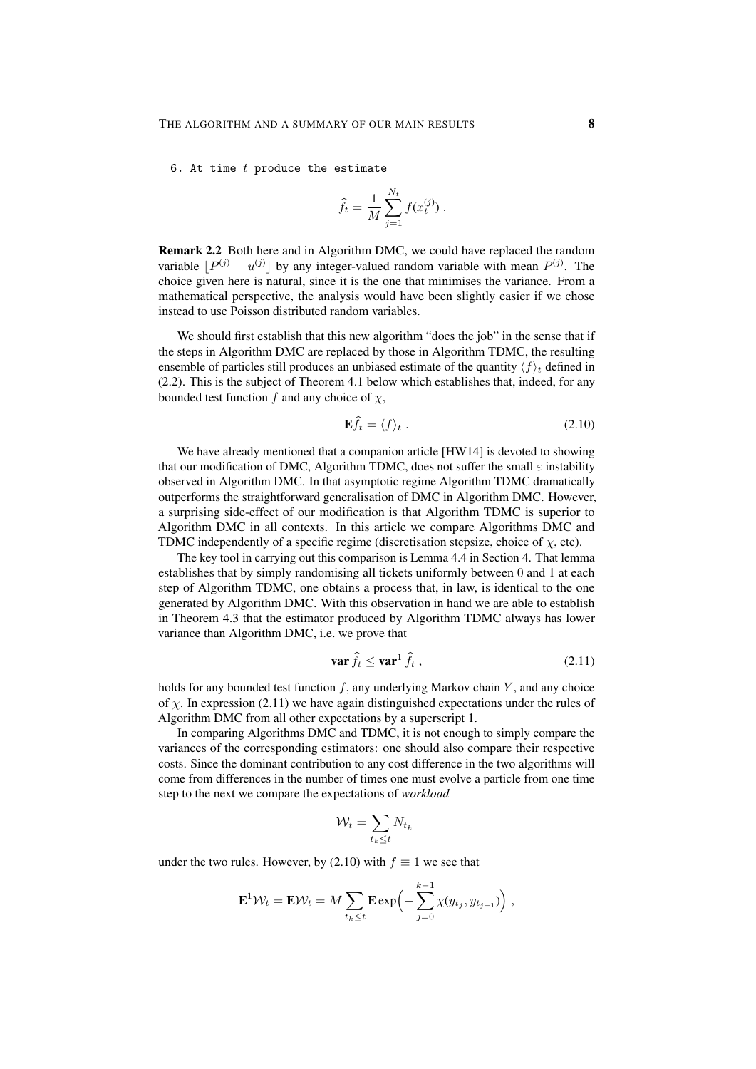6. At time  $t$  produce the estimate

$$
\widehat{f}_t = \frac{1}{M} \sum_{j=1}^{N_t} f(x_t^{(j)}) .
$$

Remark 2.2 Both here and in Algorithm DMC, we could have replaced the random variable  $[P^{(j)} + u^{(j)}]$  by any integer-valued random variable with mean  $P^{(j)}$ . The choice given here is natural, since it is the one that minimises the variance. From a mathematical perspective, the analysis would have been slightly easier if we chose instead to use Poisson distributed random variables.

We should first establish that this new algorithm "does the job" in the sense that if the steps in Algorithm DMC are replaced by those in Algorithm TDMC, the resulting ensemble of particles still produces an unbiased estimate of the quantity  $\langle f \rangle_t$  defined in (2.2). This is the subject of Theorem 4.1 below which establishes that, indeed, for any bounded test function f and any choice of  $\chi$ ,

$$
\mathbf{E}f_t = \langle f \rangle_t \,. \tag{2.10}
$$

We have already mentioned that a companion article [HW14] is devoted to showing that our modification of DMC, Algorithm TDMC, does not suffer the small  $\varepsilon$  instability observed in Algorithm DMC. In that asymptotic regime Algorithm TDMC dramatically outperforms the straightforward generalisation of DMC in Algorithm DMC. However, a surprising side-effect of our modification is that Algorithm TDMC is superior to Algorithm DMC in all contexts. In this article we compare Algorithms DMC and TDMC independently of a specific regime (discretisation stepsize, choice of  $\chi$ , etc).

The key tool in carrying out this comparison is Lemma 4.4 in Section 4. That lemma establishes that by simply randomising all tickets uniformly between 0 and 1 at each step of Algorithm TDMC, one obtains a process that, in law, is identical to the one generated by Algorithm DMC. With this observation in hand we are able to establish in Theorem 4.3 that the estimator produced by Algorithm TDMC always has lower variance than Algorithm DMC, i.e. we prove that

$$
\mathbf{var}\,\hat{f}_t \le \mathbf{var}^1\,\hat{f}_t\,,\tag{2.11}
$$

holds for any bounded test function  $f$ , any underlying Markov chain  $Y$ , and any choice of  $\chi$ . In expression (2.11) we have again distinguished expectations under the rules of Algorithm DMC from all other expectations by a superscript 1.

In comparing Algorithms DMC and TDMC, it is not enough to simply compare the variances of the corresponding estimators: one should also compare their respective costs. Since the dominant contribution to any cost difference in the two algorithms will come from differences in the number of times one must evolve a particle from one time step to the next we compare the expectations of *workload*

$$
\mathcal{W}_t = \sum_{t_k \leq t} N_{t_k}
$$

under the two rules. However, by (2.10) with  $f \equiv 1$  we see that

$$
\mathbf{E}^{1} \mathcal{W}_{t} = \mathbf{E} \mathcal{W}_{t} = M \sum_{t_{k} \leq t} \mathbf{E} \exp \left(-\sum_{j=0}^{k-1} \chi(y_{t_{j}}, y_{t_{j+1}})\right),
$$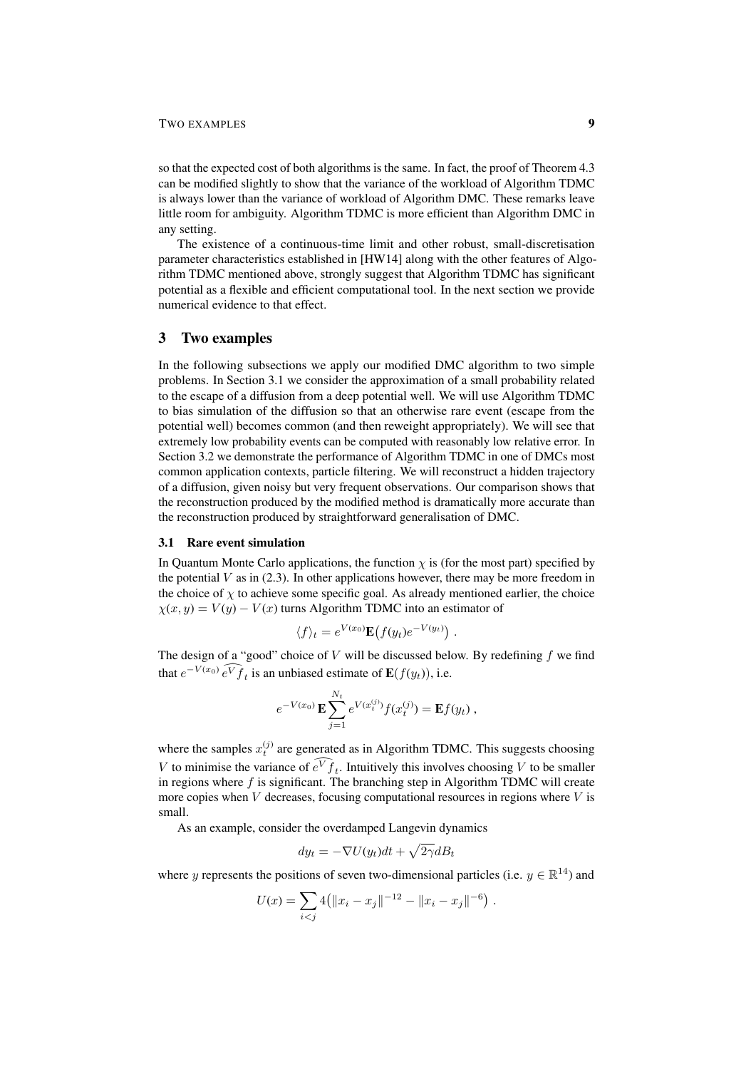#### TWO EXAMPLES 9

so that the expected cost of both algorithms is the same. In fact, the proof of Theorem 4.3 can be modified slightly to show that the variance of the workload of Algorithm TDMC is always lower than the variance of workload of Algorithm DMC. These remarks leave little room for ambiguity. Algorithm TDMC is more efficient than Algorithm DMC in any setting.

The existence of a continuous-time limit and other robust, small-discretisation parameter characteristics established in [HW14] along with the other features of Algorithm TDMC mentioned above, strongly suggest that Algorithm TDMC has significant potential as a flexible and efficient computational tool. In the next section we provide numerical evidence to that effect.

#### 3 Two examples

In the following subsections we apply our modified DMC algorithm to two simple problems. In Section 3.1 we consider the approximation of a small probability related to the escape of a diffusion from a deep potential well. We will use Algorithm TDMC to bias simulation of the diffusion so that an otherwise rare event (escape from the potential well) becomes common (and then reweight appropriately). We will see that extremely low probability events can be computed with reasonably low relative error. In Section 3.2 we demonstrate the performance of Algorithm TDMC in one of DMCs most common application contexts, particle filtering. We will reconstruct a hidden trajectory of a diffusion, given noisy but very frequent observations. Our comparison shows that the reconstruction produced by the modified method is dramatically more accurate than the reconstruction produced by straightforward generalisation of DMC.

#### 3.1 Rare event simulation

In Quantum Monte Carlo applications, the function  $\chi$  is (for the most part) specified by the potential  $V$  as in (2.3). In other applications however, there may be more freedom in the choice of  $\chi$  to achieve some specific goal. As already mentioned earlier, the choice  $\chi(x, y) = V(y) - V(x)$  turns Algorithm TDMC into an estimator of

$$
\langle f \rangle_t = e^{V(x_0)} \mathbf{E} (f(y_t) e^{-V(y_t)}) \ .
$$

The design of a "good" choice of  $V$  will be discussed below. By redefining  $f$  we find that  $e^{-V(x_0)} e^V \hat{f}_t$  is an unbiased estimate of  $\mathbf{E}(f(y_t))$ , i.e.

$$
e^{-V(x_0)} \mathbf{E} \sum_{j=1}^{N_t} e^{V(x_t^{(j)})} f(x_t^{(j)}) = \mathbf{E} f(y_t) ,
$$

where the samples  $x_t^{(j)}$  are generated as in Algorithm TDMC. This suggests choosing V to minimise the variance of  $e^V f_t$ . Intuitively this involves choosing V to be smaller in regions where  $f$  is significant. The branching step in Algorithm TDMC will create more copies when  $V$  decreases, focusing computational resources in regions where  $V$  is small.

As an example, consider the overdamped Langevin dynamics

$$
dy_t = -\nabla U(y_t)dt + \sqrt{2\gamma}dB_t
$$

where y represents the positions of seven two-dimensional particles (i.e.  $y \in \mathbb{R}^{14}$ ) and

$$
U(x) = \sum_{i < j} 4(||x_i - x_j||^{-12} - ||x_i - x_j||^{-6}).
$$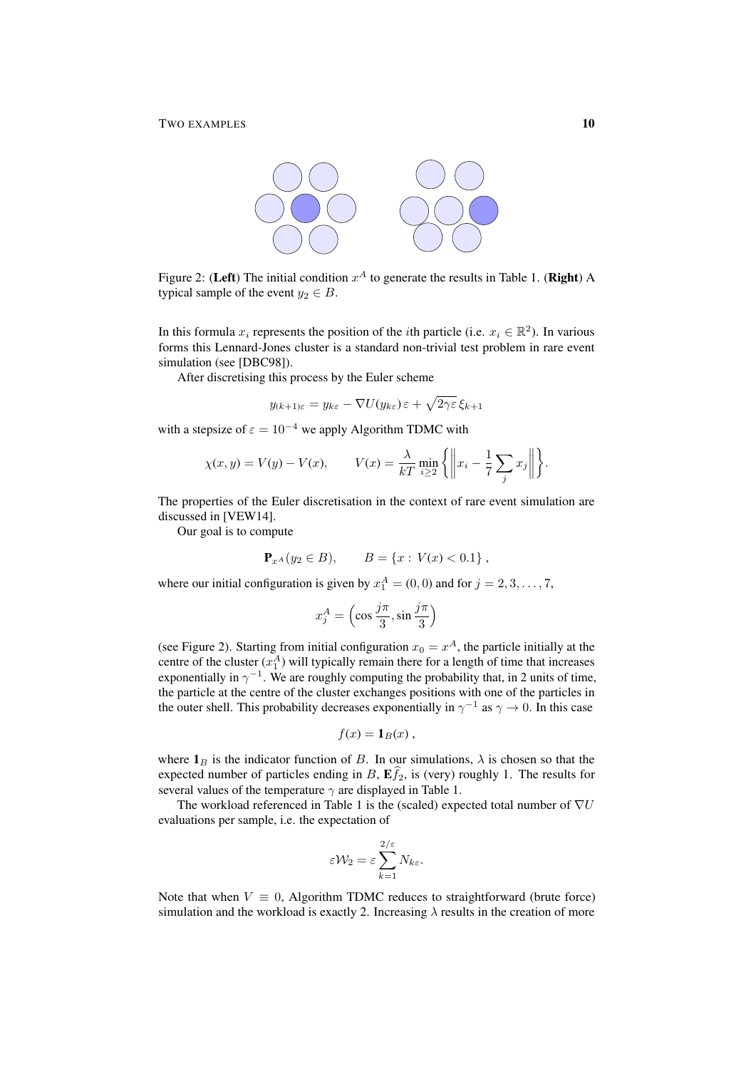

Figure 2: (Left) The initial condition  $x^A$  to generate the results in Table 1. (Right) A typical sample of the event  $y_2 \in B$ .

In this formula  $x_i$  represents the position of the *i*th particle (i.e.  $x_i \in \mathbb{R}^2$ ). In various forms this Lennard-Jones cluster is a standard non-trivial test problem in rare event simulation (see [DBC98]).

After discretising this process by the Euler scheme

$$
y_{(k+1)\varepsilon} = y_{k\varepsilon} - \nabla U(y_{k\varepsilon})\varepsilon + \sqrt{2\gamma\varepsilon} \,\xi_{k+1}
$$

with a stepsize of  $\varepsilon = 10^{-4}$  we apply Algorithm TDMC with

$$
\chi(x,y) = V(y) - V(x), \qquad V(x) = \frac{\lambda}{kT} \min_{i \ge 2} \left\{ \left\| x_i - \frac{1}{7} \sum_j x_j \right\| \right\}.
$$

The properties of the Euler discretisation in the context of rare event simulation are discussed in [VEW14].

Our goal is to compute

$$
\mathbf{P}_{x^A}(y_2 \in B), \qquad B = \{x : V(x) < 0.1\} \;,
$$

where our initial configuration is given by  $x_1^A = (0, 0)$  and for  $j = 2, 3, ..., 7$ ,

$$
x_j^A = \left(\cos\frac{j\pi}{3}, \sin\frac{j\pi}{3}\right)
$$

(see Figure 2). Starting from initial configuration  $x_0 = x^A$ , the particle initially at the centre of the cluster  $(x_1^A)$  will typically remain there for a length of time that increases exponentially in  $\gamma^{-1}$ . We are roughly computing the probability that, in 2 units of time, the particle at the centre of the cluster exchanges positions with one of the particles in the outer shell. This probability decreases exponentially in  $\gamma^{-1}$  as  $\gamma \to 0$ . In this case

$$
f(x) = \mathbf{1}_B(x) ,
$$

where  $\mathbf{1}_B$  is the indicator function of B. In our simulations,  $\lambda$  is chosen so that the expected number of particles ending in B,  $\mathbf{E} \widehat{f}_2$ , is (very) roughly 1. The results for several values of the temperature  $\gamma$  are displayed in Table 1.

The workload referenced in Table 1 is the (scaled) expected total number of  $\nabla U$ evaluations per sample, i.e. the expectation of

$$
\varepsilon \mathcal{W}_2 = \varepsilon \sum_{k=1}^{2/\varepsilon} N_{k\varepsilon}.
$$

Note that when  $V \equiv 0$ , Algorithm TDMC reduces to straightforward (brute force) simulation and the workload is exactly 2. Increasing  $\lambda$  results in the creation of more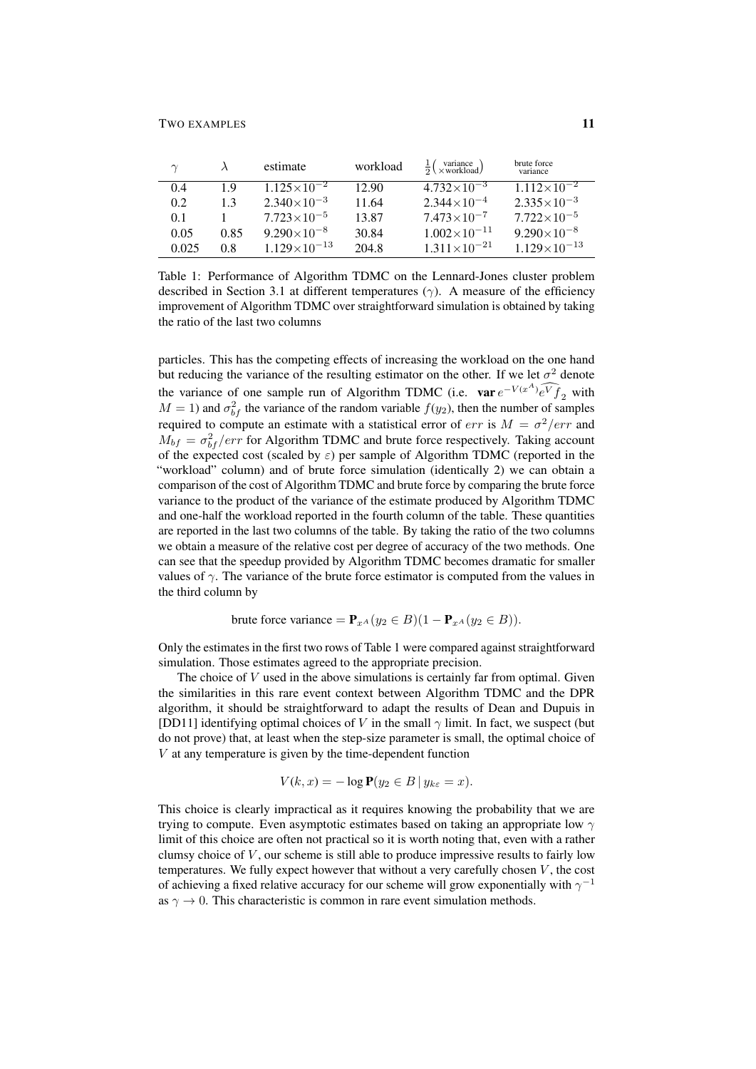| $\gamma$ |      | estimate              | workload | $\frac{1}{2}$ (xworkload) | brute force<br>variance |
|----------|------|-----------------------|----------|---------------------------|-------------------------|
| 0.4      | 19   | $1.125\times10^{-2}$  | 12.90    | $4.732 \times 10^{-3}$    | $1.112\times10^{-2}$    |
| 0.2      | 1.3  | $2.340\times10^{-3}$  | 11.64    | $2.344 \times 10^{-4}$    | $2.335\times10^{-3}$    |
| 0.1      |      | $7.723\times10^{-5}$  | 13.87    | $7.473\times10^{-7}$      | $7.722\times10^{-5}$    |
| 0.05     | 0.85 | $9.290\times10^{-8}$  | 30.84    | $1.002\times10^{-11}$     | $9.290\times10^{-8}$    |
| 0.025    | 0.8  | $1.129\times10^{-13}$ | 204.8    | $1.311\times10^{-21}$     | $1.129\times10^{-13}$   |

Table 1: Performance of Algorithm TDMC on the Lennard-Jones cluster problem described in Section 3.1 at different temperatures ( $\gamma$ ). A measure of the efficiency improvement of Algorithm TDMC over straightforward simulation is obtained by taking the ratio of the last two columns

particles. This has the competing effects of increasing the workload on the one hand but reducing the variance of the resulting estimator on the other. If we let  $\sigma^2$  denote the variance of one sample run of Algorithm TDMC (i.e.  $var e^{-V(x^A)}e^V f_2$  with  $M = 1$ ) and  $\sigma_{bf}^2$  the variance of the random variable  $f(y_2)$ , then the number of samples required to compute an estimate with a statistical error of  $err$  is  $M = \sigma^2 / err$  and  $M_{bf} = \sigma_{bf}/err$  for Algorithm TDMC and brute force respectively. Taking account of the expected cost (scaled by  $\varepsilon$ ) per sample of Algorithm TDMC (reported in the "workload" column) and of brute force simulation (identically 2) we can obtain a comparison of the cost of Algorithm TDMC and brute force by comparing the brute force variance to the product of the variance of the estimate produced by Algorithm TDMC and one-half the workload reported in the fourth column of the table. These quantities are reported in the last two columns of the table. By taking the ratio of the two columns we obtain a measure of the relative cost per degree of accuracy of the two methods. One can see that the speedup provided by Algorithm TDMC becomes dramatic for smaller values of  $\gamma$ . The variance of the brute force estimator is computed from the values in the third column by

brute force variance =  $\mathbf{P}_{rA}(y_2 \in B)(1 - \mathbf{P}_{rA}(y_2 \in B)).$ 

Only the estimates in the first two rows of Table 1 were compared against straightforward simulation. Those estimates agreed to the appropriate precision.

The choice of  $V$  used in the above simulations is certainly far from optimal. Given the similarities in this rare event context between Algorithm TDMC and the DPR algorithm, it should be straightforward to adapt the results of Dean and Dupuis in [DD11] identifying optimal choices of V in the small  $\gamma$  limit. In fact, we suspect (but do not prove) that, at least when the step-size parameter is small, the optimal choice of V at any temperature is given by the time-dependent function

$$
V(k, x) = -\log \mathbf{P}(y_2 \in B \mid y_{k\varepsilon} = x).
$$

This choice is clearly impractical as it requires knowing the probability that we are trying to compute. Even asymptotic estimates based on taking an appropriate low  $\gamma$ limit of this choice are often not practical so it is worth noting that, even with a rather clumsy choice of  $V$ , our scheme is still able to produce impressive results to fairly low temperatures. We fully expect however that without a very carefully chosen  $V$ , the cost of achieving a fixed relative accuracy for our scheme will grow exponentially with  $\gamma^{-1}$ as  $\gamma \to 0$ . This characteristic is common in rare event simulation methods.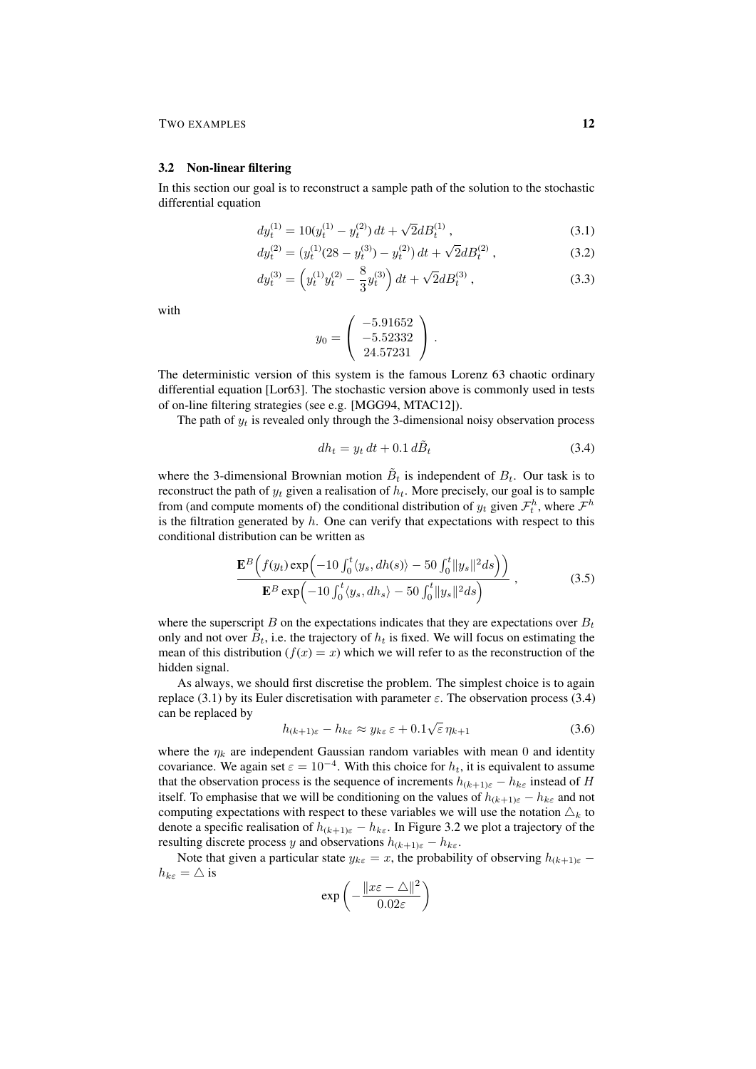### 3.2 Non-linear filtering

In this section our goal is to reconstruct a sample path of the solution to the stochastic differential equation

$$
dy_t^{(1)} = 10(y_t^{(1)} - y_t^{(2)}) dt + \sqrt{2} dB_t^{(1)} , \qquad (3.1)
$$

$$
dy_t^{(2)} = (y_t^{(1)}(28 - y_t^{(3)}) - y_t^{(2)}) dt + \sqrt{2} dB_t^{(2)},
$$
\n(3.2)

$$
dy_t^{(3)} = \left(y_t^{(1)}y_t^{(2)} - \frac{8}{3}y_t^{(3)}\right)dt + \sqrt{2}dB_t^{(3)},\tag{3.3}
$$

with

$$
y_0 = \left(\begin{array}{c} -5.91652 \\ -5.52332 \\ 24.57231 \end{array}\right).
$$

The deterministic version of this system is the famous Lorenz 63 chaotic ordinary differential equation [Lor63]. The stochastic version above is commonly used in tests of on-line filtering strategies (see e.g. [MGG94, MTAC12]).

The path of  $y_t$  is revealed only through the 3-dimensional noisy observation process

$$
dh_t = y_t dt + 0.1 d\tilde{B}_t \tag{3.4}
$$

where the 3-dimensional Brownian motion  $\tilde{B}_t$  is independent of  $B_t$ . Our task is to reconstruct the path of  $y_t$  given a realisation of  $h_t$ . More precisely, our goal is to sample from (and compute moments of) the conditional distribution of  $y_t$  given  $\mathcal{F}_t^h$ , where  $\mathcal{F}^h$ is the filtration generated by  $h$ . One can verify that expectations with respect to this conditional distribution can be written as

$$
\frac{\mathbf{E}^{B}\Big(f(y_{t})\exp\Big(-10\int_{0}^{t}\langle y_{s},dh(s)\rangle-50\int_{0}^{t}\|y_{s}\|^{2}ds\Big)\Big)}{\mathbf{E}^{B}\exp\Big(-10\int_{0}^{t}\langle y_{s},dh_{s}\rangle-50\int_{0}^{t}\|y_{s}\|^{2}ds\Big)},\qquad(3.5)
$$

where the superscript B on the expectations indicates that they are expectations over  $B_t$ only and not over  $\tilde{B}_t$ , i.e. the trajectory of  $h_t$  is fixed. We will focus on estimating the mean of this distribution  $(f(x) = x)$  which we will refer to as the reconstruction of the hidden signal.

As always, we should first discretise the problem. The simplest choice is to again replace (3.1) by its Euler discretisation with parameter  $\varepsilon$ . The observation process (3.4) can be replaced by √

$$
h_{(k+1)\varepsilon} - h_{k\varepsilon} \approx y_{k\varepsilon} \varepsilon + 0.1\sqrt{\varepsilon} \eta_{k+1}
$$
\n(3.6)

where the  $\eta_k$  are independent Gaussian random variables with mean 0 and identity covariance. We again set  $\varepsilon = 10^{-4}$ . With this choice for  $h_t$ , it is equivalent to assume that the observation process is the sequence of increments  $h_{(k+1)\varepsilon} - h_{k\varepsilon}$  instead of H itself. To emphasise that we will be conditioning on the values of  $h_{(k+1)\varepsilon} - h_{k\varepsilon}$  and not computing expectations with respect to these variables we will use the notation  $\Delta_k$  to denote a specific realisation of  $h_{(k+1)\varepsilon} - h_{k\varepsilon}$ . In Figure 3.2 we plot a trajectory of the resulting discrete process y and observations  $h_{(k+1)\varepsilon} - h_{k\varepsilon}$ .

Note that given a particular state  $y_{k\varepsilon} = x$ , the probability of observing  $h_{(k+1)\varepsilon}$  –  $h_{k\varepsilon} = \triangle$  is

$$
\exp\left(-\frac{\|x\varepsilon-\triangle\|^2}{0.02\varepsilon}\right)
$$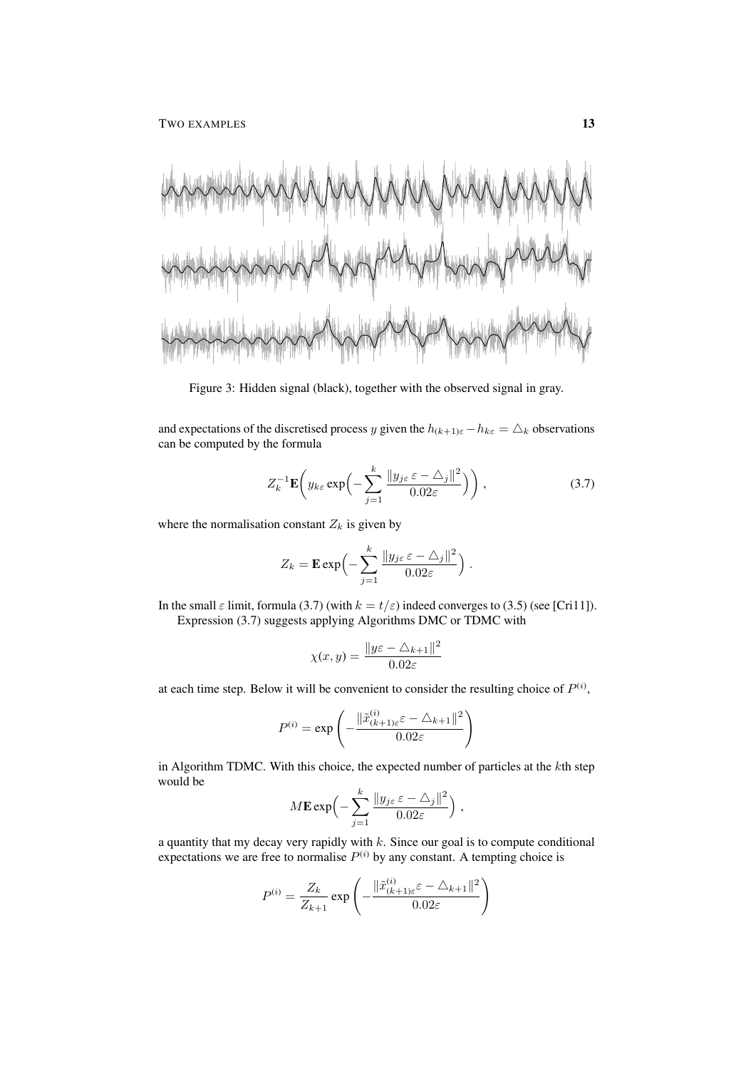TWO EXAMPLES 13

Figure 3: Hidden signal (black), together with the observed signal in gray.

and expectations of the discretised process y given the  $h_{(k+1)\varepsilon} - h_{k\varepsilon} = \triangle_k$  observations can be computed by the formula

$$
Z_k^{-1} \mathbf{E} \left( y_{k\varepsilon} \exp \left( - \sum_{j=1}^k \frac{\| y_{j\varepsilon} \varepsilon - \Delta_j \|^2}{0.02\varepsilon} \right) \right), \tag{3.7}
$$

where the normalisation constant  $Z_k$  is given by

$$
Z_k = \mathbf{E} \exp \left(-\sum_{j=1}^k \frac{\|y_{j\varepsilon} \varepsilon - \Delta_j\|^2}{0.02\varepsilon}\right).
$$

In the small  $\varepsilon$  limit, formula (3.7) (with  $k = t/\varepsilon$ ) indeed converges to (3.5) (see [Cri11]).

Expression (3.7) suggests applying Algorithms DMC or TDMC with

$$
\chi(x,y) = \frac{\|y\varepsilon - \triangle_{k+1}\|^2}{0.02\varepsilon}
$$

at each time step. Below it will be convenient to consider the resulting choice of  $P^{(i)}$ ,

$$
P^{(i)} = \exp\left(-\frac{\|\tilde{x}_{(k+1)\varepsilon}^{(i)}\varepsilon - \triangle_{k+1}\|^2}{0.02\varepsilon}\right)
$$

in Algorithm TDMC. With this choice, the expected number of particles at the kth step would be k

$$
M\mathbf{E}\exp\Bigl(-\sum_{j=1}^{\kappa}\frac{\|y_{j\varepsilon}\,\varepsilon-\triangle_j\|^2}{0.02\varepsilon}\Bigr) ,
$$

a quantity that my decay very rapidly with  $k$ . Since our goal is to compute conditional expectations we are free to normalise  $P^{(i)}$  by any constant. A tempting choice is

$$
P^{(i)} = \frac{Z_k}{Z_{k+1}} \exp\left(-\frac{\|\tilde{x}_{(k+1)\varepsilon}^{(i)}\varepsilon - \triangle_{k+1}\|^2}{0.02\varepsilon}\right)
$$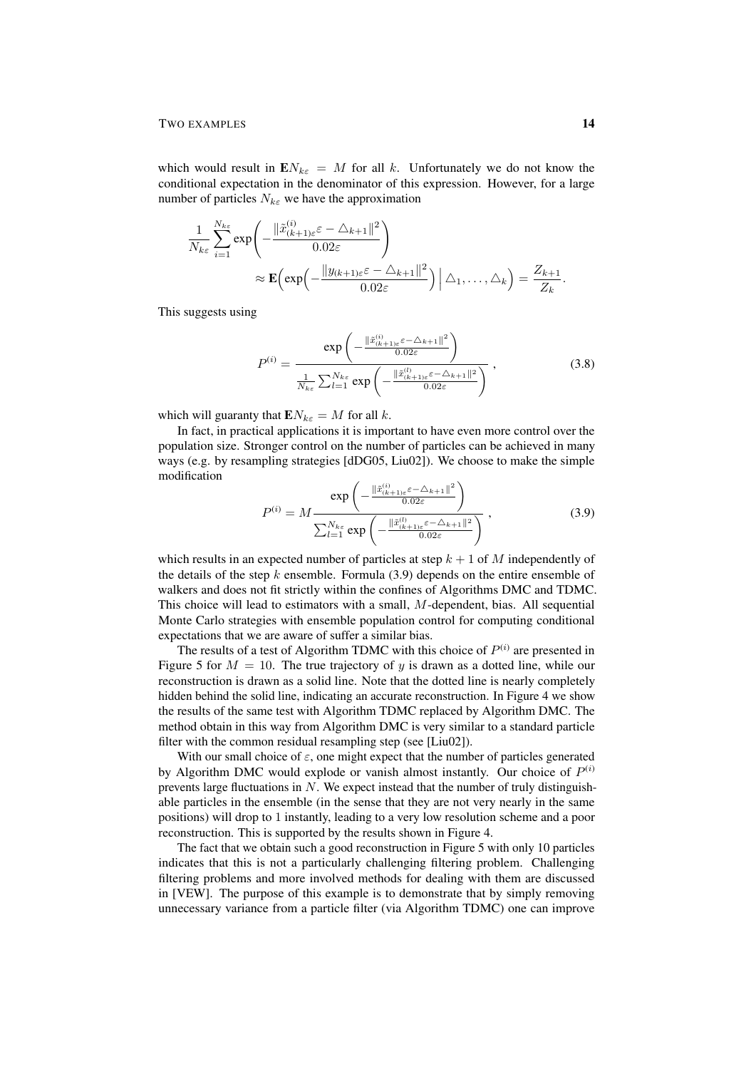which would result in  $EN_{k\varepsilon} = M$  for all k. Unfortunately we do not know the conditional expectation in the denominator of this expression. However, for a large number of particles  $N_{k\varepsilon}$  we have the approximation

$$
\frac{1}{N_{k\varepsilon}}\sum_{i=1}^{N_{k\varepsilon}} \exp\left(-\frac{\|\tilde{x}_{(k+1)\varepsilon}^{(i)}\varepsilon - \triangle_{k+1}\|^2}{0.02\varepsilon}\right)
$$

$$
\approx \mathbf{E}\left(\exp\left(-\frac{\|y_{(k+1)\varepsilon}\varepsilon - \triangle_{k+1}\|^2}{0.02\varepsilon}\right)\Big|\triangle_1,\ldots,\triangle_k\right) = \frac{Z_{k+1}}{Z_k}.
$$

This suggests using

$$
P^{(i)} = \frac{\exp\left(-\frac{\|\tilde{x}_{(k+1)\varepsilon}^{(i)}\varepsilon - \Delta_{k+1}\|^2}{0.02\varepsilon}\right)}{\frac{1}{N_{k\varepsilon}}\sum_{l=1}^{N_{k\varepsilon}}\exp\left(-\frac{\|\tilde{x}_{(k+1)\varepsilon}^{(l)}\varepsilon - \Delta_{k+1}\|^2}{0.02\varepsilon}\right)},
$$
(3.8)

which will guaranty that  $EN_{k\varepsilon} = M$  for all k.

In fact, in practical applications it is important to have even more control over the population size. Stronger control on the number of particles can be achieved in many ways (e.g. by resampling strategies [dDG05, Liu02]). We choose to make the simple modification

$$
P^{(i)} = M \frac{\exp\left(-\frac{\|\tilde{x}_{(k+1)\varepsilon}^{(i)}\varepsilon - \Delta_{k+1}\|^2}{0.02\varepsilon}\right)}{\sum_{l=1}^{N_{k\varepsilon}} \exp\left(-\frac{\|\tilde{x}_{(k+1)\varepsilon}^{(l)}\varepsilon - \Delta_{k+1}\|^2}{0.02\varepsilon}\right)},
$$
(3.9)

which results in an expected number of particles at step  $k + 1$  of M independently of the details of the step  $k$  ensemble. Formula  $(3.9)$  depends on the entire ensemble of walkers and does not fit strictly within the confines of Algorithms DMC and TDMC. This choice will lead to estimators with a small, M-dependent, bias. All sequential Monte Carlo strategies with ensemble population control for computing conditional expectations that we are aware of suffer a similar bias.

The results of a test of Algorithm TDMC with this choice of  $P^{(i)}$  are presented in Figure 5 for  $M = 10$ . The true trajectory of y is drawn as a dotted line, while our reconstruction is drawn as a solid line. Note that the dotted line is nearly completely hidden behind the solid line, indicating an accurate reconstruction. In Figure 4 we show the results of the same test with Algorithm TDMC replaced by Algorithm DMC. The method obtain in this way from Algorithm DMC is very similar to a standard particle filter with the common residual resampling step (see [Liu02]).

With our small choice of  $\varepsilon$ , one might expect that the number of particles generated by Algorithm DMC would explode or vanish almost instantly. Our choice of  $P^{(i)}$ prevents large fluctuations in  $N$ . We expect instead that the number of truly distinguishable particles in the ensemble (in the sense that they are not very nearly in the same positions) will drop to 1 instantly, leading to a very low resolution scheme and a poor reconstruction. This is supported by the results shown in Figure 4.

The fact that we obtain such a good reconstruction in Figure 5 with only 10 particles indicates that this is not a particularly challenging filtering problem. Challenging filtering problems and more involved methods for dealing with them are discussed in [VEW]. The purpose of this example is to demonstrate that by simply removing unnecessary variance from a particle filter (via Algorithm TDMC) one can improve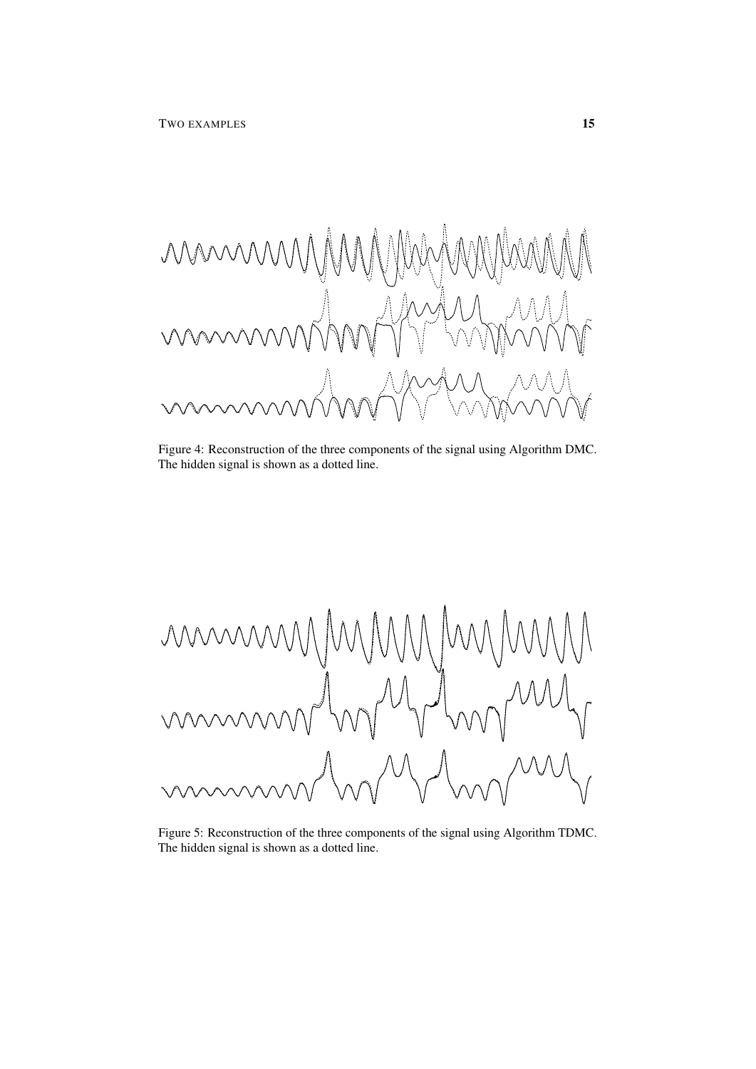$\mathcal{N}$ 

Figure 4: Reconstruction of the three components of the signal using Algorithm DMC. The hidden signal is shown as a dotted line.



Figure 5: Reconstruction of the three components of the signal using Algorithm TDMC. The hidden signal is shown as a dotted line.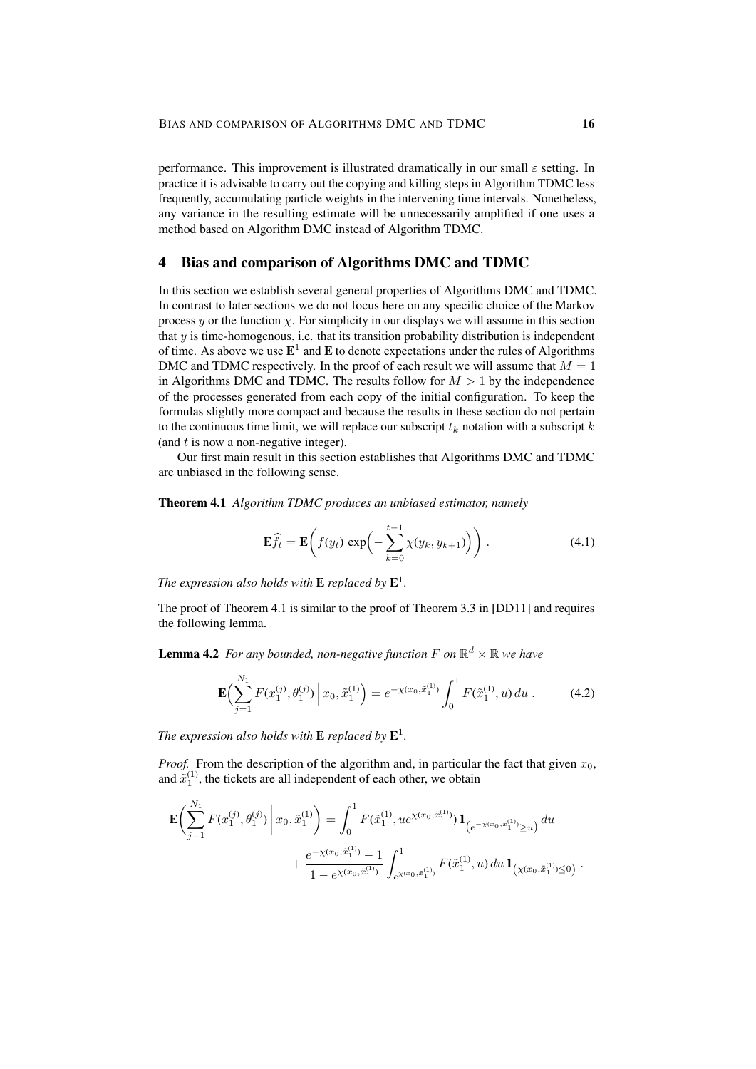performance. This improvement is illustrated dramatically in our small  $\varepsilon$  setting. In practice it is advisable to carry out the copying and killing steps in Algorithm TDMC less frequently, accumulating particle weights in the intervening time intervals. Nonetheless, any variance in the resulting estimate will be unnecessarily amplified if one uses a method based on Algorithm DMC instead of Algorithm TDMC.

## 4 Bias and comparison of Algorithms DMC and TDMC

In this section we establish several general properties of Algorithms DMC and TDMC. In contrast to later sections we do not focus here on any specific choice of the Markov process y or the function  $\chi$ . For simplicity in our displays we will assume in this section that  $y$  is time-homogenous, i.e. that its transition probability distribution is independent of time. As above we use  $\mathbf{E}^1$  and  $\mathbf{E}$  to denote expectations under the rules of Algorithms DMC and TDMC respectively. In the proof of each result we will assume that  $M = 1$ in Algorithms DMC and TDMC. The results follow for  $M > 1$  by the independence of the processes generated from each copy of the initial configuration. To keep the formulas slightly more compact and because the results in these section do not pertain to the continuous time limit, we will replace our subscript  $t_k$  notation with a subscript k (and  $t$  is now a non-negative integer).

Our first main result in this section establishes that Algorithms DMC and TDMC are unbiased in the following sense.

Theorem 4.1 *Algorithm TDMC produces an unbiased estimator, namely*

$$
\mathbf{E}\widehat{f}_t = \mathbf{E}\bigg(f(y_t)\exp\bigg(-\sum_{k=0}^{t-1}\chi(y_k,y_{k+1})\bigg)\bigg)\,. \tag{4.1}
$$

The expression also holds with  $\mathbf E$  replaced by  $\mathbf E^1.$ 

The proof of Theorem 4.1 is similar to the proof of Theorem 3.3 in [DD11] and requires the following lemma.

**Lemma 4.2** For any bounded, non-negative function F on  $\mathbb{R}^d \times \mathbb{R}$  we have

$$
\mathbf{E}\Big(\sum_{j=1}^{N_1} F(x_1^{(j)}, \theta_1^{(j)}) \Big| x_0, \tilde{x}_1^{(1)} \Big) = e^{-\chi(x_0, \tilde{x}_1^{(1)})} \int_0^1 F(\tilde{x}_1^{(1)}, u) du . \tag{4.2}
$$

The expression also holds with  $\mathbf E$  replaced by  $\mathbf E^1.$ 

*Proof.* From the description of the algorithm and, in particular the fact that given  $x_0$ , and  $\tilde{x}_1^{(1)}$ , the tickets are all independent of each other, we obtain

$$
\mathbf{E}\left(\sum_{j=1}^{N_1} F(x_1^{(j)}, \theta_1^{(j)}) \middle| x_0, \tilde{x}_1^{(1)} \right) = \int_0^1 F(\tilde{x}_1^{(1)}, u e^{\chi(x_0, \tilde{x}_1^{(1)})}) \mathbf{1}_{\left(e^{-\chi(x_0, \tilde{x}_1^{(1)})} \ge u\right)} du + \frac{e^{-\chi(x_0, \tilde{x}_1^{(1)})} - 1}{1 - e^{\chi(x_0, \tilde{x}_1^{(1)})}} \int_{e^{\chi(x_0, \tilde{x}_1^{(1)})}}^1 F(\tilde{x}_1^{(1)}, u) du \mathbf{1}_{\left(\chi(x_0, \tilde{x}_1^{(1)}) \le 0\right)}.
$$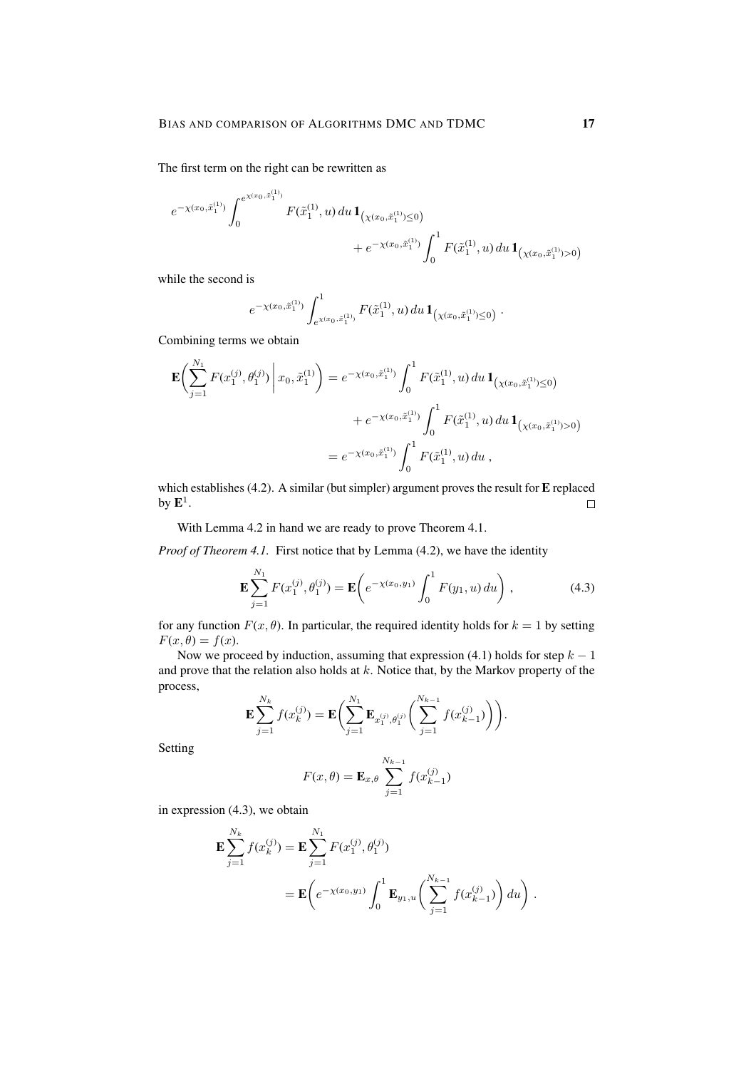The first term on the right can be rewritten as

$$
\begin{aligned} e^{-\chi(x_0,\tilde{x}_1^{(1)})}\int_0^{e^{\chi(x_0,\tilde{x}_1^{(1)})}} F(\tilde{x}_1^{(1)},u)\,du\,1_{\left(\chi(x_0,\tilde{x}_1^{(1)})\leq 0\right)} \\ &+e^{-\chi(x_0,\tilde{x}_1^{(1)})}\int_0^1 F(\tilde{x}_1^{(1)},u)\,du\,1_{\left(\chi(x_0,\tilde{x}_1^{(1)})>0\right)} \end{aligned}
$$

while the second is

$$
e^{-\chi(x_0,\tilde{x}_1^{(1)})}\int_{e^{\chi(x_0,\tilde{x}_1^{(1)})}}^1F(\tilde{x}_1^{(1)},u)\,du\,\mathbf{1}_{\left(\chi(x_0,\tilde{x}_1^{(1)})\leq 0\right)}.
$$

Combining terms we obtain

$$
\mathbf{E}\left(\sum_{j=1}^{N_1} F(x_1^{(j)}, \theta_1^{(j)}) \middle| x_0, \tilde{x}_1^{(1)} \right) = e^{-\chi(x_0, \tilde{x}_1^{(1)})} \int_0^1 F(\tilde{x}_1^{(1)}, u) du \mathbf{1}_{\left(\chi(x_0, \tilde{x}_1^{(1)}) \le 0\right)} + e^{-\chi(x_0, \tilde{x}_1^{(1)})} \int_0^1 F(\tilde{x}_1^{(1)}, u) du \mathbf{1}_{\left(\chi(x_0, \tilde{x}_1^{(1)}) > 0\right)} = e^{-\chi(x_0, \tilde{x}_1^{(1)})} \int_0^1 F(\tilde{x}_1^{(1)}, u) du ,
$$

which establishes (4.2). A similar (but simpler) argument proves the result for E replaced by  $\mathbf{E}^1.$  $\Box$ 

With Lemma 4.2 in hand we are ready to prove Theorem 4.1.

*Proof of Theorem 4.1.* First notice that by Lemma (4.2), we have the identity

$$
\mathbf{E} \sum_{j=1}^{N_1} F(x_1^{(j)}, \theta_1^{(j)}) = \mathbf{E} \bigg( e^{-\chi(x_0, y_1)} \int_0^1 F(y_1, u) \, du \bigg) , \tag{4.3}
$$

for any function  $F(x, \theta)$ . In particular, the required identity holds for  $k = 1$  by setting  $F(x, \theta) = f(x)$ .

Now we proceed by induction, assuming that expression (4.1) holds for step  $k - 1$ and prove that the relation also holds at  $k$ . Notice that, by the Markov property of the process,

$$
\mathbf{E}\sum_{j=1}^{N_k}f(x_k^{(j)}) = \mathbf{E}\bigg(\sum_{j=1}^{N_1}\mathbf{E}_{x_1^{(j)},\theta_1^{(j)}}\bigg(\sum_{j=1}^{N_{k-1}}f(x_{k-1}^{(j)})\bigg)\bigg).
$$

Setting

$$
F(x, \theta) = \mathbf{E}_{x, \theta} \sum_{j=1}^{N_{k-1}} f(x_{k-1}^{(j)})
$$

in expression (4.3), we obtain

$$
\mathbf{E} \sum_{j=1}^{N_k} f(x_k^{(j)}) = \mathbf{E} \sum_{j=1}^{N_1} F(x_1^{(j)}, \theta_1^{(j)})
$$
  
= 
$$
\mathbf{E} \left( e^{-\chi(x_0, y_1)} \int_0^1 \mathbf{E}_{y_1, u} \left( \sum_{j=1}^{N_{k-1}} f(x_{k-1}^{(j)}) \right) du \right).
$$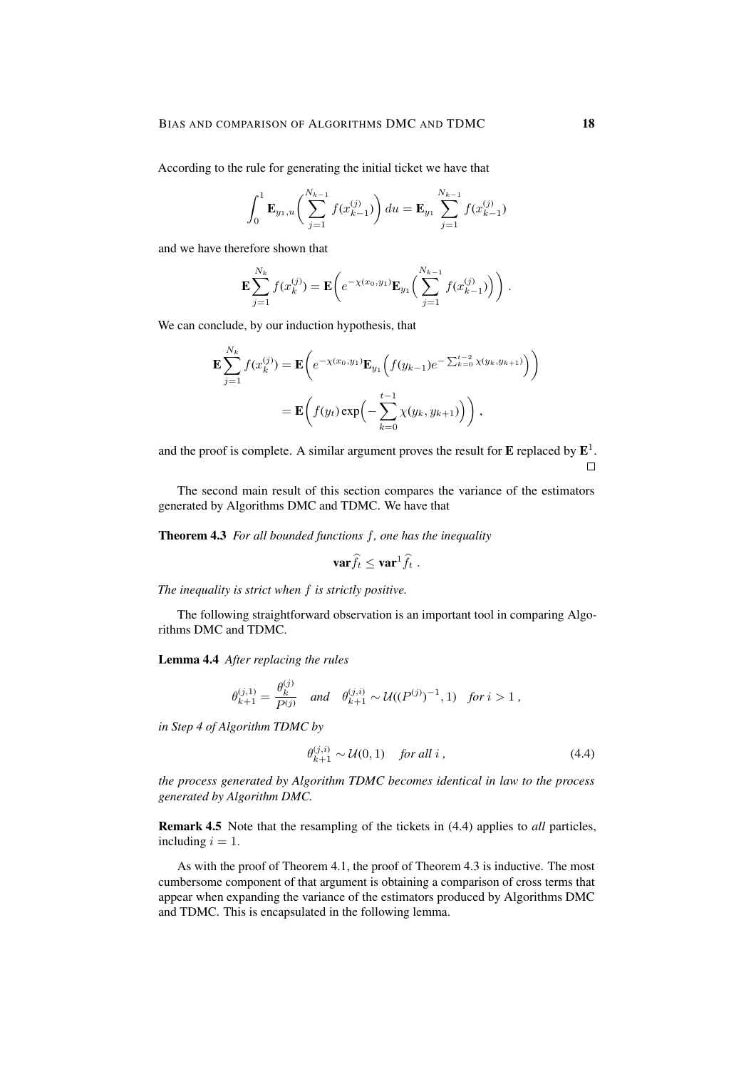According to the rule for generating the initial ticket we have that

$$
\int_0^1 \mathbf{E}_{y_1,u} \bigg( \sum_{j=1}^{N_{k-1}} f(x_{k-1}^{(j)}) \bigg) du = \mathbf{E}_{y_1} \sum_{j=1}^{N_{k-1}} f(x_{k-1}^{(j)})
$$

and we have therefore shown that

$$
\mathbf{E}\sum_{j=1}^{N_k}f(x_k^{(j)}) = \mathbf{E}\bigg(e^{-\chi(x_0,y_1)}\mathbf{E}_{y_1}\bigg(\sum_{j=1}^{N_{k-1}}f(x_{k-1}^{(j)})\bigg)\bigg).
$$

We can conclude, by our induction hypothesis, that

$$
\mathbf{E} \sum_{j=1}^{N_k} f(x_k^{(j)}) = \mathbf{E} \bigg( e^{-\chi(x_0, y_1)} \mathbf{E}_{y_1} \Big( f(y_{k-1}) e^{-\sum_{k=0}^{t-2} \chi(y_k, y_{k+1})} \Big) \bigg)
$$
  
= 
$$
\mathbf{E} \bigg( f(y_t) \exp \bigg( - \sum_{k=0}^{t-1} \chi(y_k, y_{k+1}) \bigg) \bigg),
$$

and the proof is complete. A similar argument proves the result for  $E$  replaced by  $E^1$ .  $\Box$ 

The second main result of this section compares the variance of the estimators generated by Algorithms DMC and TDMC. We have that

Theorem 4.3 *For all bounded functions* f*, one has the inequality*

$$
\mathbf{var}\widehat{f}_t \leq \mathbf{var}^1\widehat{f}_t.
$$

*The inequality is strict when* f *is strictly positive.*

The following straightforward observation is an important tool in comparing Algorithms DMC and TDMC.

Lemma 4.4 *After replacing the rules*

$$
\theta^{(j,1)}_{k+1} = \frac{\theta^{(j)}_k}{P^{(j)}} \quad \text{and} \quad \theta^{(j,i)}_{k+1} \sim \mathcal{U}((P^{(j)})^{-1}, 1) \quad \text{for } i > 1 \, ,
$$

*in Step 4 of Algorithm TDMC by*

$$
\theta_{k+1}^{(j,i)} \sim \mathcal{U}(0,1) \quad \text{for all } i \,, \tag{4.4}
$$

*the process generated by Algorithm TDMC becomes identical in law to the process generated by Algorithm DMC.*

Remark 4.5 Note that the resampling of the tickets in (4.4) applies to *all* particles, including  $i = 1$ .

As with the proof of Theorem 4.1, the proof of Theorem 4.3 is inductive. The most cumbersome component of that argument is obtaining a comparison of cross terms that appear when expanding the variance of the estimators produced by Algorithms DMC and TDMC. This is encapsulated in the following lemma.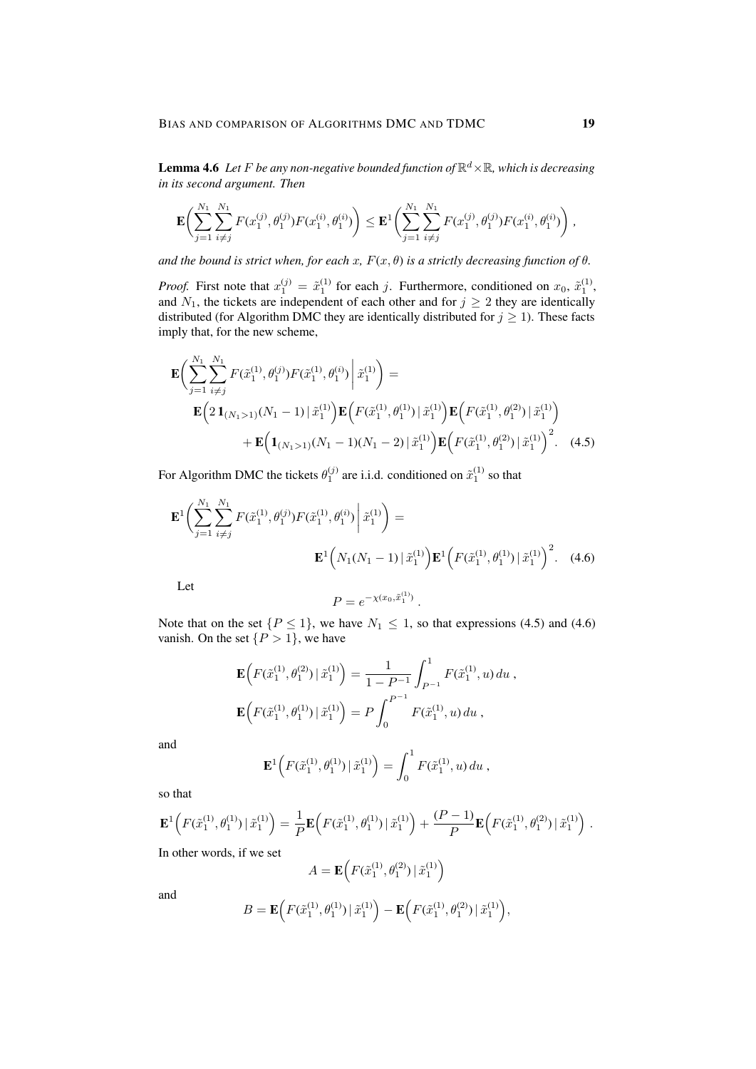**Lemma 4.6** Let F be any non-negative bounded function of  $\mathbb{R}^d \times \mathbb{R}$ , which is decreasing *in its second argument. Then*

$$
\mathbf{E}\bigg(\sum_{j=1}^{N_1}\sum_{i\neq j}^{N_1}F(x_1^{(j)},\theta_1^{(j)})F(x_1^{(i)},\theta_1^{(i)})\bigg) \leq \mathbf{E}^1\bigg(\sum_{j=1}^{N_1}\sum_{i\neq j}^{N_1}F(x_1^{(j)},\theta_1^{(j)})F(x_1^{(i)},\theta_1^{(i)})\bigg)\,,
$$

*and the bound is strict when, for each x,*  $F(x, \theta)$  *is a strictly decreasing function of*  $\theta$ *.* 

*Proof.* First note that  $x_1^{(j)} = \tilde{x}_1^{(1)}$  for each j. Furthermore, conditioned on  $x_0$ ,  $\tilde{x}_1^{(1)}$ , and  $N_1$ , the tickets are independent of each other and for  $j \geq 2$  they are identically distributed (for Algorithm DMC they are identically distributed for  $j \geq 1$ ). These facts imply that, for the new scheme,

$$
\mathbf{E}\left(\sum_{j=1}^{N_{1}}\sum_{i\neq j}^{N_{1}}F(\tilde{x}_{1}^{(1)},\theta_{1}^{(j)})F(\tilde{x}_{1}^{(1)},\theta_{1}^{(i)})\bigg|\tilde{x}_{1}^{(1)}\right) = \n\mathbf{E}\left(2\mathbf{1}_{(N_{1}>1)}(N_{1}-1)\,|\,\tilde{x}_{1}^{(1)}\right)\mathbf{E}\left(F(\tilde{x}_{1}^{(1)},\theta_{1}^{(1)})\,|\,\tilde{x}_{1}^{(1)}\right)\mathbf{E}\left(F(\tilde{x}_{1}^{(1)},\theta_{1}^{(2)})\,|\,\tilde{x}_{1}^{(1)}\right) \n+\mathbf{E}\left(\mathbf{1}_{(N_{1}>1)}(N_{1}-1)(N_{1}-2)\,|\,\tilde{x}_{1}^{(1)}\right)\mathbf{E}\left(F(\tilde{x}_{1}^{(1)},\theta_{1}^{(2)})\,|\,\tilde{x}_{1}^{(1)}\right)^{2}.\tag{4.5}
$$

For Algorithm DMC the tickets  $\theta_1^{(j)}$  are i.i.d. conditioned on  $\tilde{x}_1^{(1)}$  so that

$$
\mathbf{E}^{1}\left(\sum_{j=1}^{N_{1}}\sum_{i\neq j}^{N_{1}}F(\tilde{x}_{1}^{(1)},\theta_{1}^{(j)})F(\tilde{x}_{1}^{(1)},\theta_{1}^{(i)})\bigg|\tilde{x}_{1}^{(1)}\right)=\mathbf{E}^{1}\left(N_{1}(N_{1}-1)\,|\,\tilde{x}_{1}^{(1)}\right)\mathbf{E}^{1}\left(F(\tilde{x}_{1}^{(1)},\theta_{1}^{(1)})\,|\,\tilde{x}_{1}^{(1)}\right)^{2}.\tag{4.6}
$$

Let

$$
P = e^{-\chi(x_0, \tilde{x}_1^{(1)})}.
$$

Note that on the set  $\{P \le 1\}$ , we have  $N_1 \le 1$ , so that expressions (4.5) and (4.6) vanish. On the set  $\{P > 1\}$ , we have

$$
\mathbf{E}\Big(F(\tilde{x}_1^{(1)}, \theta_1^{(2)}) | \tilde{x}_1^{(1)}\Big) = \frac{1}{1 - P^{-1}} \int_{P^{-1}}^1 F(\tilde{x}_1^{(1)}, u) du,
$$
  

$$
\mathbf{E}\Big(F(\tilde{x}_1^{(1)}, \theta_1^{(1)}) | \tilde{x}_1^{(1)}\Big) = P \int_0^{P^{-1}} F(\tilde{x}_1^{(1)}, u) du,
$$

and

$$
\mathbf{E}^{1}\Big(F(\tilde{x}_{1}^{(1)},\theta_{1}^{(1)})|\tilde{x}_{1}^{(1)}\Big)=\int_{0}^{1}F(\tilde{x}_{1}^{(1)},u)\,du,
$$

so that

$$
\mathbf{E}^{1}\Big(F(\tilde{x}_{1}^{(1)},\theta_1^{(1)})\,|\,\tilde{x}_{1}^{(1)}\Big) = \frac{1}{P}\mathbf{E}\Big(F(\tilde{x}_{1}^{(1)},\theta_1^{(1)})\,|\,\tilde{x}_{1}^{(1)}\Big) + \frac{(P-1)}{P}\mathbf{E}\Big(F(\tilde{x}_{1}^{(1)},\theta_1^{(2)})\,|\,\tilde{x}_{1}^{(1)}\Big)\;.
$$

In other words, if we set

$$
A = \mathbf{E}\Big( F(\tilde{x}_1^{(1)}, \theta_1^{(2)}) \, | \, \tilde{x}_1^{(1)} \Big)
$$

and

$$
B = \mathbf{E}\Big(F(\tilde{x}_1^{(1)}, \theta_1^{(1)}) | \tilde{x}_1^{(1)}\Big) - \mathbf{E}\Big(F(\tilde{x}_1^{(1)}, \theta_1^{(2)}) | \tilde{x}_1^{(1)}\Big),\,
$$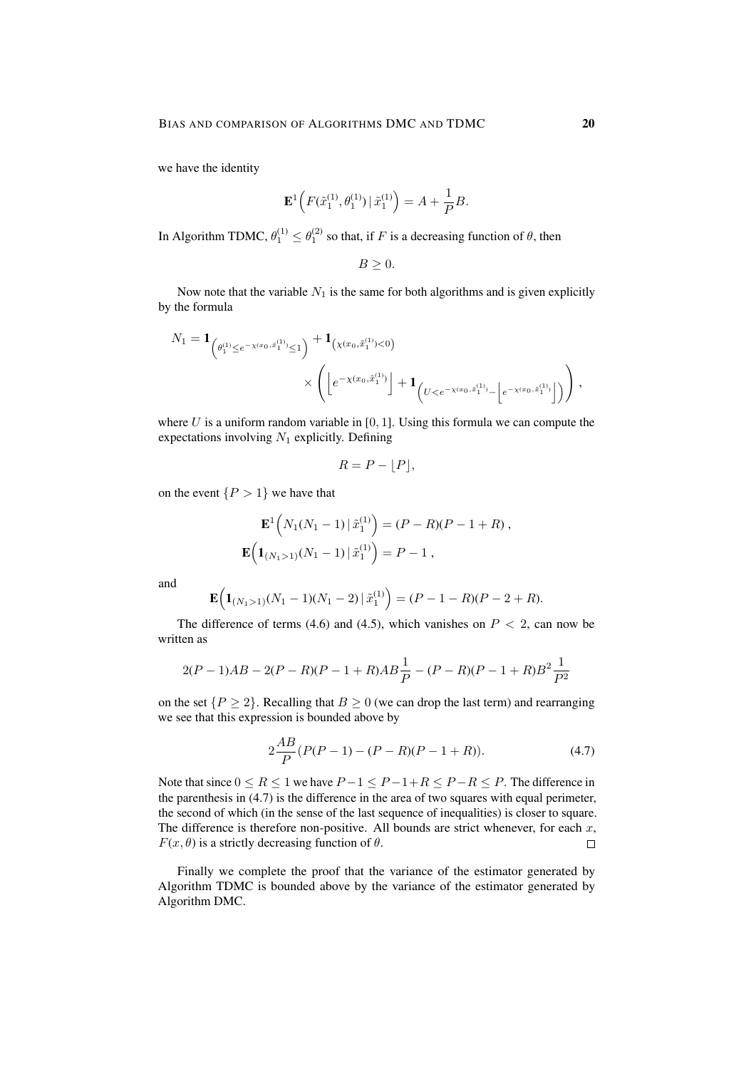we have the identity

$$
\mathbf{E}^{1}\Big(F(\tilde{x}_{1}^{(1)},\theta_{1}^{(1)})\,|\,\tilde{x}_{1}^{(1)}\Big)=A+\frac{1}{P}B.
$$

In Algorithm TDMC,  $\theta_1^{(1)} \le \theta_1^{(2)}$  so that, if F is a decreasing function of  $\theta$ , then

$$
B\geq 0.
$$

Now note that the variable  $N_1$  is the same for both algorithms and is given explicitly by the formula

$$
N_1 = \mathbf{1}_{\left(\theta_1^{(1)} \leq e^{-\chi(x_0, \tilde{x}_1^{(1)})} \leq 1\right)} + \mathbf{1}_{\left(\chi(x_0, \tilde{x}_1^{(1)}) < 0\right)} \times \left( \left\lfloor e^{-\chi(x_0, \tilde{x}_1^{(1)})} \right\rfloor + \mathbf{1}_{\left(U < e^{-\chi(x_0, \tilde{x}_1^{(1)})} - \left\lfloor e^{-\chi(x_0, \tilde{x}_1^{(1)})} \right\rfloor\right)} \right),
$$

where  $U$  is a uniform random variable in  $[0, 1]$ . Using this formula we can compute the expectations involving  $N_1$  explicitly. Defining

$$
R = P - \lfloor P \rfloor,
$$

on the event  $\{P > 1\}$  we have that

$$
\mathbf{E}^{1}\Big(N_{1}(N_{1}-1)\,|\,\tilde{x}_{1}^{(1)}\Big)=(P-R)(P-1+R)\,,
$$
  

$$
\mathbf{E}\Big(\mathbf{1}_{(N_{1}>1)}(N_{1}-1)\,|\,\tilde{x}_{1}^{(1)}\Big)=P-1\,,
$$

and

$$
\mathbf{E}\Big(\mathbf{1}_{(N_1>1)}(N_1-1)(N_1-2)\,|\,\tilde{x}_1^{(1)}\Big)=(P-1-R)(P-2+R).
$$

The difference of terms (4.6) and (4.5), which vanishes on  $P < 2$ , can now be written as

$$
2(P-1)AB - 2(P-R)(P-1+R)AB\frac{1}{P} - (P-R)(P-1+R)B^{2}\frac{1}{P^{2}}
$$

on the set  $\{P \ge 2\}$ . Recalling that  $B \ge 0$  (we can drop the last term) and rearranging we see that this expression is bounded above by

$$
2\frac{AB}{P}(P(P-1) - (P-R)(P-1+R)).
$$
\n(4.7)

Note that since  $0 \le R \le 1$  we have  $P-1 \le P-1+R \le P-R \le P$ . The difference in the parenthesis in (4.7) is the difference in the area of two squares with equal perimeter, the second of which (in the sense of the last sequence of inequalities) is closer to square. The difference is therefore non-positive. All bounds are strict whenever, for each  $x$ ,  $F(x, \theta)$  is a strictly decreasing function of  $\theta$ .  $\Box$ 

Finally we complete the proof that the variance of the estimator generated by Algorithm TDMC is bounded above by the variance of the estimator generated by Algorithm DMC.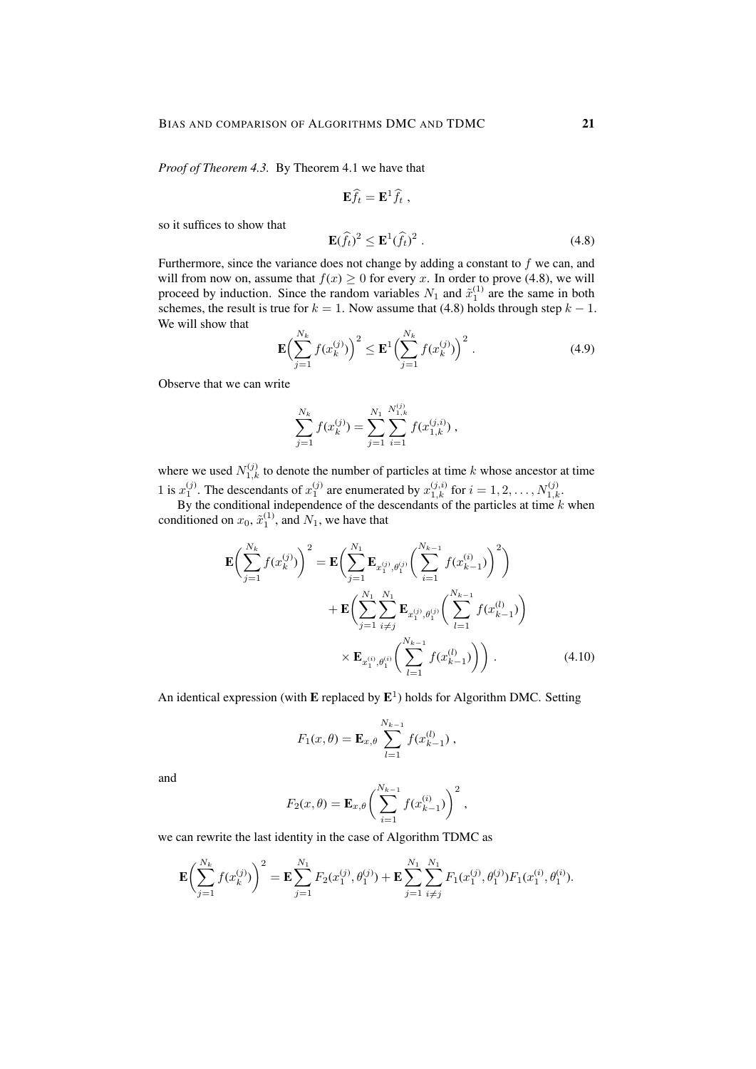*Proof of Theorem 4.3.* By Theorem 4.1 we have that

$$
\mathbf{E}\hat{f}_t = \mathbf{E}^1 \hat{f}_t ,
$$
  

$$
\mathbf{E}(\hat{f}_t)^2 \le \mathbf{E}^1(\hat{f}_t)^2 .
$$
 (4.8)

so it suffices to show that

Furthermore, since the variance does not change by adding a constant to  $f$  we can, and will from now on, assume that  $f(x) \geq 0$  for every x. In order to prove (4.8), we will proceed by induction. Since the random variables  $N_1$  and  $\tilde{x}_1^{(1)}$  are the same in both schemes, the result is true for  $k = 1$ . Now assume that (4.8) holds through step  $k - 1$ . We will show that

$$
\mathbf{E}\left(\sum_{j=1}^{N_k} f(x_k^{(j)})\right)^2 \le \mathbf{E}^1 \left(\sum_{j=1}^{N_k} f(x_k^{(j)})\right)^2. \tag{4.9}
$$

Observe that we can write

$$
\sum_{j=1}^{N_k} f(x_k^{(j)}) = \sum_{j=1}^{N_1} \sum_{i=1}^{N_{1,k}^{(j)}} f(x_{1,k}^{(j,i)}),
$$

where we used  $N_{1,k}^{(j)}$  to denote the number of particles at time k whose ancestor at time 1 is  $x_1^{(j)}$ . The descendants of  $x_1^{(j)}$  are enumerated by  $x_{1,k}^{(j,i)}$  for  $i = 1, 2, ..., N_{1,k}^{(j)}$ .

By the conditional independence of the descendants of the particles at time  $k$  when conditioned on  $x_0$ ,  $\tilde{x}_1^{(1)}$ , and  $N_1$ , we have that

$$
\mathbf{E}\left(\sum_{j=1}^{N_k} f(x_k^{(j)})\right)^2 = \mathbf{E}\left(\sum_{j=1}^{N_1} \mathbf{E}_{x_1^{(j)}, \theta_1^{(j)}} \left(\sum_{i=1}^{N_{k-1}} f(x_{k-1}^{(i)})\right)^2\right) \n+ \mathbf{E}\left(\sum_{j=1}^{N_1} \sum_{i \neq j}^{N_1} \mathbf{E}_{x_1^{(j)}, \theta_1^{(j)}} \left(\sum_{l=1}^{N_{k-1}} f(x_{k-1}^{(l)})\right) \n\times \mathbf{E}_{x_1^{(i)}, \theta_1^{(i)}} \left(\sum_{l=1}^{N_{k-1}} f(x_{k-1}^{(l)})\right)\right).
$$
\n(4.10)

An identical expression (with  $E$  replaced by  $E^1$ ) holds for Algorithm DMC. Setting

$$
F_1(x, \theta) = \mathbf{E}_{x, \theta} \sum_{l=1}^{N_{k-1}} f(x_{k-1}^{(l)}) ,
$$

and

$$
F_2(x,\theta) = \mathbf{E}_{x,\theta} \bigg( \sum_{i=1}^{N_{k-1}} f(x_{k-1}^{(i)}) \bigg)^2 ,
$$

we can rewrite the last identity in the case of Algorithm TDMC as

$$
\mathbf{E}\left(\sum_{j=1}^{N_k} f(x_k^{(j)})\right)^2 = \mathbf{E}\sum_{j=1}^{N_1} F_2(x_1^{(j)}, \theta_1^{(j)}) + \mathbf{E}\sum_{j=1}^{N_1} \sum_{i \neq j}^{N_1} F_1(x_1^{(j)}, \theta_1^{(j)}) F_1(x_1^{(i)}, \theta_1^{(i)}).
$$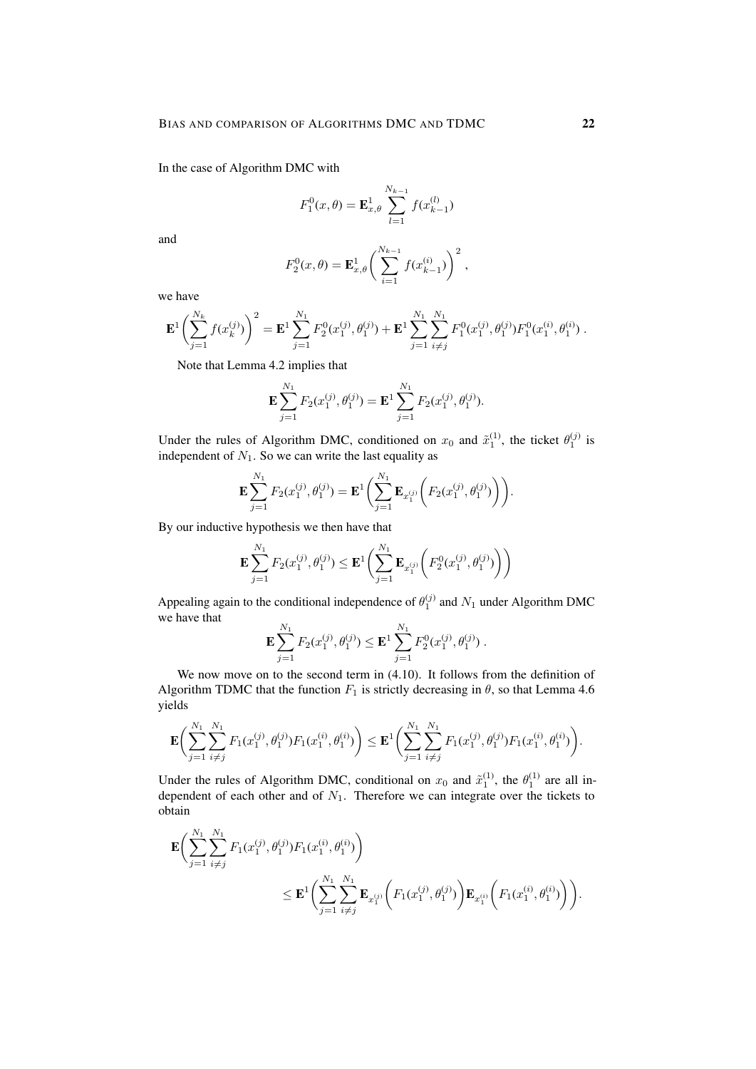In the case of Algorithm DMC with

$$
F_1^0(x,\theta) = \mathbf{E}_{x,\theta}^1 \sum_{l=1}^{N_{k-1}} f(x_{k-1}^{(l)})
$$

and

$$
F_2^0(x,\theta) = \mathbf{E}_{x,\theta}^1 \left( \sum_{i=1}^{N_{k-1}} f(x_{k-1}^{(i)}) \right)^2,
$$

we have

$$
\mathbf{E}^{1}\left(\sum_{j=1}^{N_{k}}f(x_{k}^{(j)})\right)^{2} = \mathbf{E}^{1}\sum_{j=1}^{N_{1}}F_{2}^{0}(x_{1}^{(j)},\theta_{1}^{(j)}) + \mathbf{E}^{1}\sum_{j=1}^{N_{1}}\sum_{i\neq j}^{N_{1}}F_{1}^{0}(x_{1}^{(j)},\theta_{1}^{(j)})F_{1}^{0}(x_{1}^{(i)},\theta_{1}^{(i)}) .
$$

Note that Lemma 4.2 implies that

$$
\mathbf{E} \sum_{j=1}^{N_1} F_2(x_1^{(j)}, \theta_1^{(j)}) = \mathbf{E}^1 \sum_{j=1}^{N_1} F_2(x_1^{(j)}, \theta_1^{(j)}).
$$

Under the rules of Algorithm DMC, conditioned on  $x_0$  and  $\tilde{x}_1^{(1)}$ , the ticket  $\theta_1^{(j)}$  is independent of  $N_1$ . So we can write the last equality as

$$
\mathbf{E} \sum_{j=1}^{N_1} F_2(x_1^{(j)}, \theta_1^{(j)}) = \mathbf{E}^1 \bigg( \sum_{j=1}^{N_1} \mathbf{E}_{x_1^{(j)}} \bigg( F_2(x_1^{(j)}, \theta_1^{(j)}) \bigg) \bigg).
$$

By our inductive hypothesis we then have that

$$
\mathbf{E} \sum_{j=1}^{N_1} F_2(x_1^{(j)}, \theta_1^{(j)}) \le \mathbf{E}^1 \bigg( \sum_{j=1}^{N_1} \mathbf{E}_{x_1^{(j)}} \bigg( F_2^0(x_1^{(j)}, \theta_1^{(j)}) \bigg) \bigg)
$$

Appealing again to the conditional independence of  $\theta_1^{(j)}$  and  $N_1$  under Algorithm DMC we have that

$$
\mathbf{E} \sum_{j=1}^{N_1} F_2(x_1^{(j)}, \theta_1^{(j)}) \leq \mathbf{E}^1 \sum_{j=1}^{N_1} F_2^0(x_1^{(j)}, \theta_1^{(j)}) .
$$

We now move on to the second term in  $(4.10)$ . It follows from the definition of Algorithm TDMC that the function  $F_1$  is strictly decreasing in  $\theta$ , so that Lemma 4.6 yields

$$
\mathbf{E}\biggl(\sum_{j=1}^{N_1}\sum_{i\neq j}^{N_1}F_1(x_1^{(j)},\theta_1^{(j)})F_1(x_1^{(i)},\theta_1^{(i)})\biggr)\leq \mathbf{E}^1\biggl(\sum_{j=1}^{N_1}\sum_{i\neq j}^{N_1}F_1(x_1^{(j)},\theta_1^{(j)})F_1(x_1^{(i)},\theta_1^{(i)})\biggr).
$$

Under the rules of Algorithm DMC, conditional on  $x_0$  and  $\tilde{x}_1^{(1)}$ , the  $\theta_1^{(1)}$  are all independent of each other and of  $N_1$ . Therefore we can integrate over the tickets to obtain

$$
\mathbf{E}\Biggl(\sum_{j=1}^{N_1}\sum_{i\neq j}^{N_1}F_1(x_1^{(j)},\theta_1^{(j)})F_1(x_1^{(i)},\theta_1^{(i)})\Biggr)\\ \leq \mathbf{E}^1\biggl(\sum_{j=1}^{N_1}\sum_{i\neq j}^{N_1}\mathbf{E}_{x_1^{(j)}}\biggl(F_1(x_1^{(j)},\theta_1^{(j)})\biggr)\mathbf{E}_{x_1^{(i)}}\biggl(F_1(x_1^{(i)},\theta_1^{(i)})\biggr)\biggr).
$$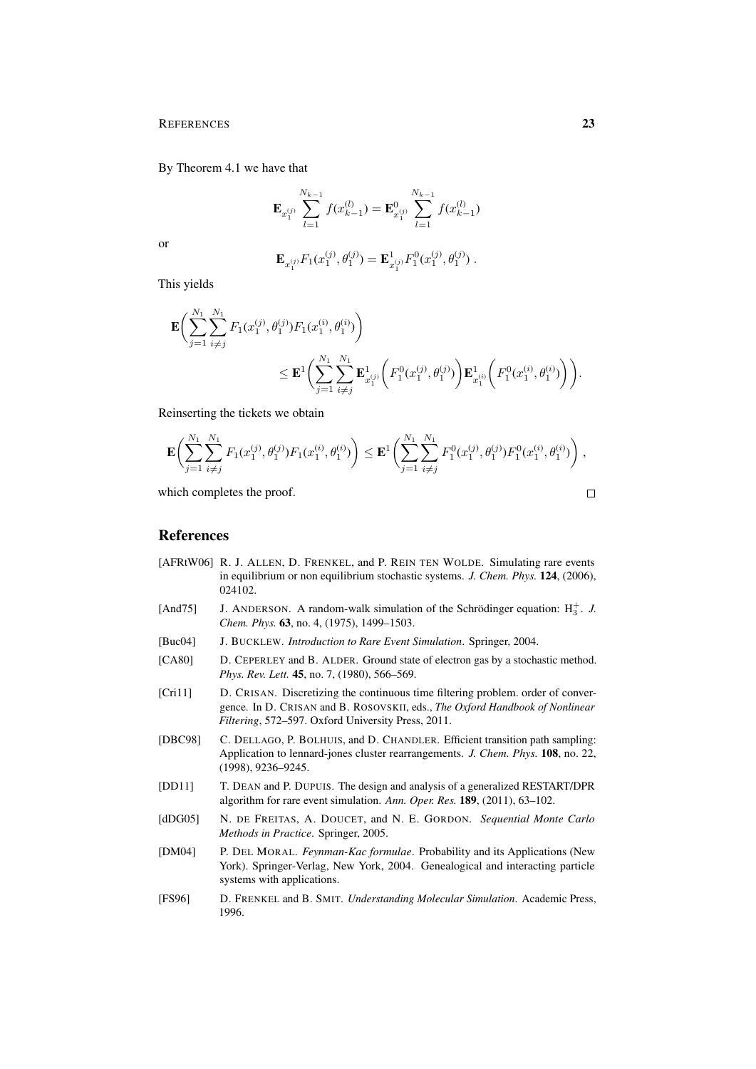#### REFERENCES 23

By Theorem 4.1 we have that

$$
\mathbf{E}_{x_1^{(j)}}\sum_{l=1}^{N_{k-1}}f(x_{k-1}^{(l)})=\mathbf{E}_{x_1^{(j)}}^0\sum_{l=1}^{N_{k-1}}f(x_{k-1}^{(l)})
$$

or

$$
\mathbf{E}_{x_1^{(j)}} F_1(x_1^{(j)}, \theta_1^{(j)}) = \mathbf{E}_{x_1^{(j)}}^1 F_1^0(x_1^{(j)}, \theta_1^{(j)}) .
$$

This yields

$$
\mathbf{E}\Biggl(\sum_{j=1}^{N_1}\sum_{i\neq j}^{N_1}F_1(x_1^{(j)},\theta_1^{(j)})F_1(x_1^{(i)},\theta_1^{(i)})\Biggr)\\ \leq \mathbf{E}^1\biggl(\sum_{j=1}^{N_1}\sum_{i\neq j}^{N_1}\mathbf{E}^1_{x_1^{(j)}}\biggl(F_1^0(x_1^{(j)},\theta_1^{(j)})\biggr)\mathbf{E}^1_{x_1^{(i)}}\biggl(F_1^0(x_1^{(i)},\theta_1^{(i)})\biggr)\biggr).
$$

Reinserting the tickets we obtain

$$
\mathbf{E}\bigg(\sum_{j=1}^{N_1}\sum_{i\neq j}^{N_1}F_1(x_1^{(j)},\theta_1^{(j)})F_1(x_1^{(i)},\theta_1^{(i)})\bigg) \leq \mathbf{E}^1\bigg(\sum_{j=1}^{N_1}\sum_{i\neq j}^{N_1}F_1^0(x_1^{(j)},\theta_1^{(j)})F_1^0(x_1^{(i)},\theta_1^{(i)})\bigg)\;,
$$

which completes the proof.

$$
\Box
$$

# References

- [AFRtW06] R. J. ALLEN, D. FRENKEL, and P. REIN TEN WOLDE. Simulating rare events in equilibrium or non equilibrium stochastic systems. *J. Chem. Phys.* 124, (2006), 024102.
- [And75] J. ANDERSON. A random-walk simulation of the Schrödinger equation:  $H_3^+$ . *J. Chem. Phys.* 63, no. 4, (1975), 1499–1503.
- [Buc04] J. BUCKLEW. *Introduction to Rare Event Simulation*. Springer, 2004.
- [CA80] D. CEPERLEY and B. ALDER. Ground state of electron gas by a stochastic method. *Phys. Rev. Lett.* 45, no. 7, (1980), 566–569.
- [Cri11] D. CRISAN. Discretizing the continuous time filtering problem. order of convergence. In D. CRISAN and B. ROSOVSKII, eds., *The Oxford Handbook of Nonlinear Filtering*, 572–597. Oxford University Press, 2011.
- [DBC98] C. DELLAGO, P. BOLHUIS, and D. CHANDLER. Efficient transition path sampling: Application to lennard-jones cluster rearrangements. *J. Chem. Phys.* 108, no. 22, (1998), 9236–9245.
- [DD11] T. DEAN and P. DUPUIS. The design and analysis of a generalized RESTART/DPR algorithm for rare event simulation. *Ann. Oper. Res.* 189, (2011), 63–102.
- [dDG05] N. DE FREITAS, A. DOUCET, and N. E. GORDON. *Sequential Monte Carlo Methods in Practice*. Springer, 2005.
- [DM04] P. DEL MORAL. *Feynman-Kac formulae*. Probability and its Applications (New York). Springer-Verlag, New York, 2004. Genealogical and interacting particle systems with applications.
- [FS96] D. FRENKEL and B. SMIT. *Understanding Molecular Simulation*. Academic Press, 1996.